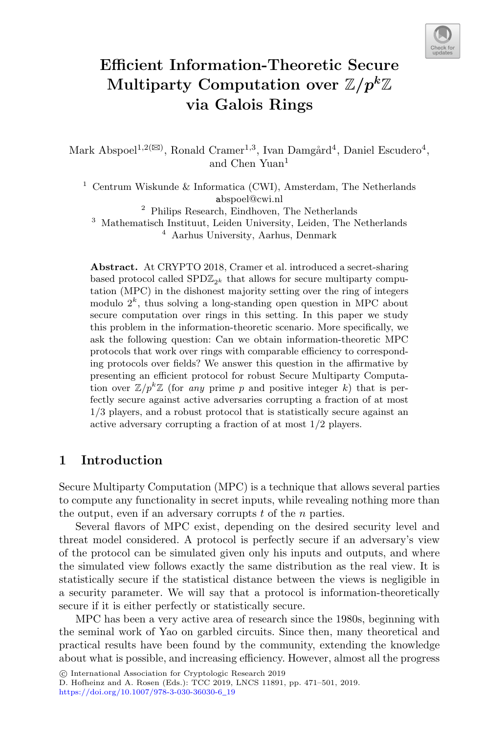

# **Efficient Information-Theoretic Secure Multiparty Computation over** Z*/pk*Z **via Galois Rings**

Mark Abspoel<sup>1,2( $\boxtimes$ )</sup>, Ronald Cramer<sup>1,3</sup>, Ivan Damgård<sup>4</sup>, Daniel Escudero<sup>4</sup>, and Chen Yuan<sup>1</sup>

<sup>1</sup> Centrum Wiskunde & Informatica (CWI), Amsterdam, The Netherlands abspoel@cwi.nl

<sup>2</sup> Philips Research, Eindhoven, The Netherlands <sup>3</sup> Mathematisch Instituut, Leiden University, Leiden, The Netherlands <sup>4</sup> Aarhus University, Aarhus, Denmark

**Abstract.** At CRYPTO 2018, Cramer et al. introduced a secret-sharing based protocol called  $SPD\mathbb{Z}_{2^k}$  that allows for secure multiparty computation (MPC) in the dishonest majority setting over the ring of integers modulo  $2^k$ , thus solving a long-standing open question in MPC about secure computation over rings in this setting. In this paper we study this problem in the information-theoretic scenario. More specifically, we ask the following question: Can we obtain information-theoretic MPC protocols that work over rings with comparable efficiency to corresponding protocols over fields? We answer this question in the affirmative by presenting an efficient protocol for robust Secure Multiparty Computation over  $\mathbb{Z}/p^k\mathbb{Z}$  (for *any* prime p and positive integer k) that is perfectly secure against active adversaries corrupting a fraction of at most 1/3 players, and a robust protocol that is statistically secure against an active adversary corrupting a fraction of at most 1/2 players.

## **1 Introduction**

Secure Multiparty Computation (MPC) is a technique that allows several parties to compute any functionality in secret inputs, while revealing nothing more than the output, even if an adversary corrupts  $t$  of the  $n$  parties.

Several flavors of MPC exist, depending on the desired security level and threat model considered. A protocol is perfectly secure if an adversary's view of the protocol can be simulated given only his inputs and outputs, and where the simulated view follows exactly the same distribution as the real view. It is statistically secure if the statistical distance between the views is negligible in a security parameter. We will say that a protocol is information-theoretically secure if it is either perfectly or statistically secure.

MPC has been a very active area of research since the 1980s, beginning with the seminal work of Yao on garbled circuits. Since then, many theoretical and practical results have been found by the community, extending the knowledge about what is possible, and increasing efficiency. However, almost all the progress

<sup>-</sup>c International Association for Cryptologic Research 2019

D. Hofheinz and A. Rosen (Eds.): TCC 2019, LNCS 11891, pp. 471–501, 2019. [https://doi.org/10.1007/978-3-030-36030-6](https://doi.org/10.1007/978-3-030-36030-6_19)\_19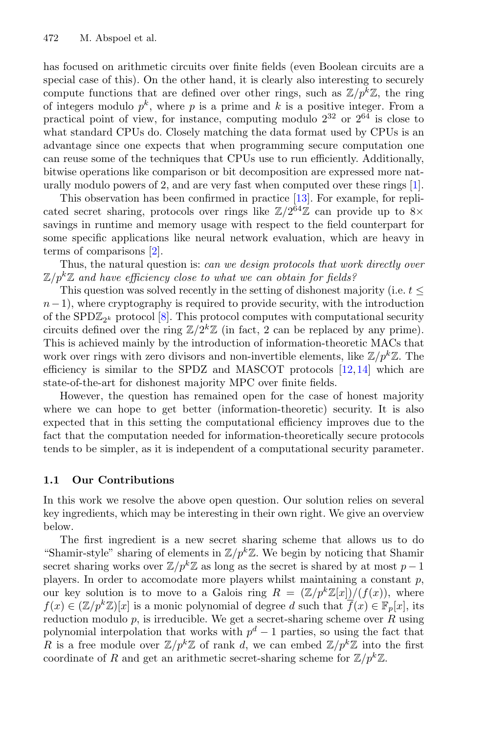has focused on arithmetic circuits over finite fields (even Boolean circuits are a special case of this). On the other hand, it is clearly also interesting to securely compute functions that are defined over other rings, such as  $\mathbb{Z}/p^k\mathbb{Z}$ , the ring of integers modulo  $p^k$ , where p is a prime and k is a positive integer. From a practical point of view, for instance, computing modulo  $2^{32}$  or  $2^{64}$  is close to what standard CPUs do. Closely matching the data format used by CPUs is an advantage since one expects that when programming secure computation one can reuse some of the techniques that CPUs use to run efficiently. Additionally, bitwise operations like comparison or bit decomposition are expressed more naturally modulo powers of 2, and are very fast when computed over these rings [\[1\]](#page-29-0).

This observation has been confirmed in practice [\[13\]](#page-30-0). For example, for replicated secret sharing, protocols over rings like  $\mathbb{Z}/2^{64}\mathbb{Z}$  can provide up to  $8\times$ savings in runtime and memory usage with respect to the field counterpart for some specific applications like neural network evaluation, which are heavy in terms of comparisons [\[2\]](#page-29-1).

Thus, the natural question is: *can we design protocols that work directly over*  $\mathbb{Z}/p^k\mathbb{Z}$  and have efficiency close to what we can obtain for fields?

This question was solved recently in the setting of dishonest majority (i.e.  $t \leq$  $n-1$ ), where cryptography is required to provide security, with the introduction of the SPD $\mathbb{Z}_{2^k}$  protocol  $[8]$  $[8]$ . This protocol computes with computational security circuits defined over the ring  $\mathbb{Z}/2^k\mathbb{Z}$  (in fact, 2 can be replaced by any prime). This is achieved mainly by the introduction of information-theoretic MACs that work over rings with zero divisors and non-invertible elements, like  $\mathbb{Z}/p^k\mathbb{Z}$ . The efficiency is similar to the SPDZ and MASCOT protocols [\[12](#page-30-1)[,14](#page-30-2)] which are state-of-the-art for dishonest majority MPC over finite fields.

However, the question has remained open for the case of honest majority where we can hope to get better (information-theoretic) security. It is also expected that in this setting the computational efficiency improves due to the fact that the computation needed for information-theoretically secure protocols tends to be simpler, as it is independent of a computational security parameter.

#### **1.1 Our Contributions**

In this work we resolve the above open question. Our solution relies on several key ingredients, which may be interesting in their own right. We give an overview below.

The first ingredient is a new secret sharing scheme that allows us to do "Shamir-style" sharing of elements in  $\mathbb{Z}/p^k\mathbb{Z}$ . We begin by noticing that Shamir secret sharing works over  $\mathbb{Z}/p^k\mathbb{Z}$  as long as the secret is shared by at most  $p-1$ players. In order to accomodate more players whilst maintaining a constant  $p$ , our key solution is to move to a Galois ring  $R = (\mathbb{Z}/p^k\mathbb{Z}[x])/(f(x))$ , where  $f(x) \in (\mathbb{Z}/p^k\mathbb{Z})[x]$  is a monic polynomial of degree d such that  $\overline{f}(x) \in \mathbb{F}_p[x]$ , its reduction modulo  $p$ , is irreducible. We get a secret-sharing scheme over  $R$  using polynomial interpolation that works with  $p^d - 1$  parties, so using the fact that R is a free module over  $\mathbb{Z}/p^k\mathbb{Z}$  of rank d, we can embed  $\mathbb{Z}/p^k\mathbb{Z}$  into the first coordinate of R and get an arithmetic secret-sharing scheme for  $\mathbb{Z}/p^k\mathbb{Z}$ .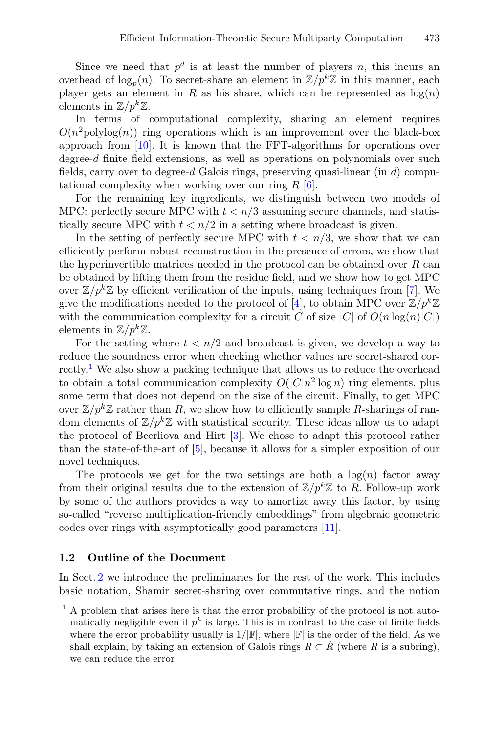Since we need that  $p^d$  is at least the number of players n, this incurs an overhead of  $\log_n(n)$ . To secret-share an element in  $\mathbb{Z}/p^k\mathbb{Z}$  in this manner, each player gets an element in R as his share, which can be represented as  $log(n)$ elements in  $\mathbb{Z}/p^k\mathbb{Z}$ .

In terms of computational complexity, sharing an element requires  $O(n^2polylog(n))$  ring operations which is an improvement over the black-box approach from [\[10\]](#page-29-3). It is known that the FFT-algorithms for operations over degree-d finite field extensions, as well as operations on polynomials over such fields, carry over to degree-d Galois rings, preserving quasi-linear (in  $d$ ) computational complexity when working over our ring  $R \, [6]$  $R \, [6]$  $R \, [6]$ .

For the remaining key ingredients, we distinguish between two models of MPC: perfectly secure MPC with  $t < n/3$  assuming secure channels, and statistically secure MPC with  $t < n/2$  in a setting where broadcast is given.

In the setting of perfectly secure MPC with  $t < n/3$ , we show that we can efficiently perform robust reconstruction in the presence of errors, we show that the hyperinvertible matrices needed in the protocol can be obtained over  $R$  can be obtained by lifting them from the residue field, and we show how to get MPC over  $\mathbb{Z}/p^k\mathbb{Z}$  by efficient verification of the inputs, using techniques from [\[7\]](#page-29-5). We give the modifications needed to the protocol of [\[4](#page-29-6)], to obtain MPC over  $\mathbb{Z}/p^k\mathbb{Z}$ with the communication complexity for a circuit C of size  $|C|$  of  $O(n \log(n)|C|)$ elements in  $\mathbb{Z}/p^k\mathbb{Z}$ .

For the setting where  $t < n/2$  and broadcast is given, we develop a way to reduce the soundness error when checking whether values are secret-shared correctly.[1](#page-2-0) We also show a packing technique that allows us to reduce the overhead to obtain a total communication complexity  $O(|C|n^2 \log n)$  ring elements, plus some term that does not depend on the size of the circuit. Finally, to get MPC over  $\mathbb{Z}/p^k\mathbb{Z}$  rather than R, we show how to efficiently sample R-sharings of random elements of  $\mathbb{Z}/p^k\mathbb{Z}$  with statistical security. These ideas allow us to adapt the protocol of Beerliova and Hirt [\[3\]](#page-29-7). We chose to adapt this protocol rather than the state-of-the-art of [\[5](#page-29-8)], because it allows for a simpler exposition of our novel techniques.

The protocols we get for the two settings are both a  $log(n)$  factor away from their original results due to the extension of  $\mathbb{Z}/p^k\mathbb{Z}$  to R. Follow-up work by some of the authors provides a way to amortize away this factor, by using so-called "reverse multiplication-friendly embeddings" from algebraic geometric codes over rings with asymptotically good parameters [\[11\]](#page-30-3).

#### **1.2 Outline of the Document**

In Sect. [2](#page-3-0) we introduce the preliminaries for the rest of the work. This includes basic notation, Shamir secret-sharing over commutative rings, and the notion

<span id="page-2-0"></span> $1$  A problem that arises here is that the error probability of the protocol is not automatically negligible even if  $p^k$  is large. This is in contrast to the case of finite fields where the error probability usually is  $1/|\mathbb{F}|$ , where  $|\mathbb{F}|$  is the order of the field. As we shall explain, by taking an extension of Galois rings  $R \subset \tilde{R}$  (where R is a subring), we can reduce the error.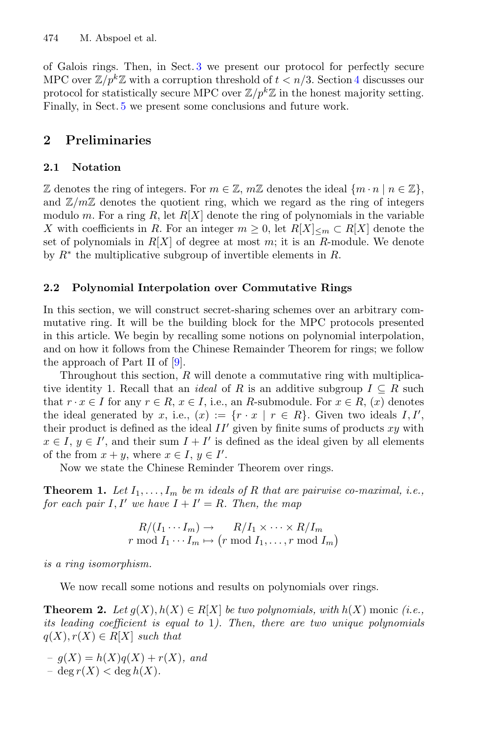of Galois rings. Then, in Sect. [3](#page-6-0) we present our protocol for perfectly secure MPC over  $\mathbb{Z}/p^k\mathbb{Z}$  with a corruption threshold of  $t < n/3$ . Section [4](#page-11-0) discusses our protocol for statistically secure MPC over  $\mathbb{Z}/p^k\mathbb{Z}$  in the honest majority setting. Finally, in Sect. [5](#page-28-0) we present some conclusions and future work.

## <span id="page-3-0"></span>**2 Preliminaries**

### **2.1 Notation**

Z denotes the ring of integers. For  $m \in \mathbb{Z}$ ,  $m\mathbb{Z}$  denotes the ideal  $\{m \cdot n \mid n \in \mathbb{Z}\}\,$ , and  $\mathbb{Z}/m\mathbb{Z}$  denotes the quotient ring, which we regard as the ring of integers modulo m. For a ring R, let  $R[X]$  denote the ring of polynomials in the variable X with coefficients in R. For an integer  $m \geq 0$ , let  $R[X]_{\leq m} \subset R[X]$  denote the set of polynomials in  $R[X]$  of degree at most m; it is an R-module. We denote by  $R^*$  the multiplicative subgroup of invertible elements in R.

### <span id="page-3-3"></span>**2.2 Polynomial Interpolation over Commutative Rings**

In this section, we will construct secret-sharing schemes over an arbitrary commutative ring. It will be the building block for the MPC protocols presented in this article. We begin by recalling some notions on polynomial interpolation, and on how it follows from the Chinese Remainder Theorem for rings; we follow the approach of Part II of [\[9](#page-29-9)].

Throughout this section,  $R$  will denote a commutative ring with multiplicative identity 1. Recall that an *ideal* of R is an additive subgroup  $I \subseteq R$  such that  $r \cdot x \in I$  for any  $r \in R$ ,  $x \in I$ , i.e., an R-submodule. For  $x \in R$ ,  $(x)$  denotes the ideal generated by x, i.e.,  $(x) := \{r \cdot x \mid r \in R\}$ . Given two ideals  $I, I',$ their product is defined as the ideal  $II'$  given by finite sums of products xy with  $x \in I$ ,  $y \in I'$ , and their sum  $I + I'$  is defined as the ideal given by all elements of the from  $x + y$ , where  $x \in I$ ,  $y \in I'$ .

<span id="page-3-2"></span>Now we state the Chinese Reminder Theorem over rings.

**Theorem 1.** Let  $I_1, \ldots, I_m$  be m *ideals of* R that are pairwise co-maximal, i.e., *for each pair* I, I' we have  $I + I' = R$ . Then, the map

$$
R/(I_1 \cdots I_m) \to R/I_1 \times \cdots \times R/I_m
$$
  
 $r \mod I_1 \cdots I_m \mapsto (r \mod I_1, \ldots, r \mod I_m)$ 

*is a ring isomorphism.*

We now recall some notions and results on polynomials over rings.

**Theorem 2.** *Let*  $g(X)$ ,  $h(X) \in R[X]$  *be two polynomials, with*  $h(X)$  monic *(i.e., its leading coefficient is equal to* 1*). Then, there are two unique polynomials*  $q(X), r(X) \in R[X]$  *such that* 

<span id="page-3-1"></span> $- g(X) = h(X)q(X) + r(X)$ , and  $-\deg r(X) < \deg h(X)$ .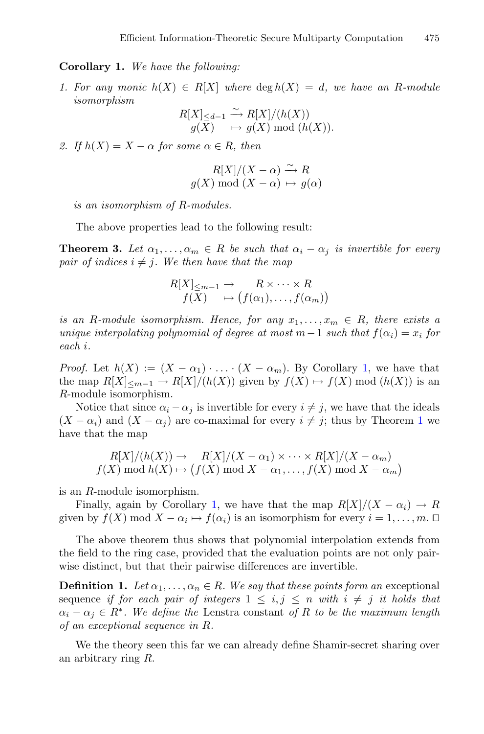**Corollary 1.** *We have the following:*

*1. For any monic*  $h(X) \in R[X]$  where  $\deg h(X) = d$ , we have an R-module *isomorphism*

$$
R[X]_{\leq d-1} \xrightarrow{\sim} R[X]/(h(X))
$$
  

$$
g(X) \longrightarrow g(X) \bmod (h(X)).
$$

2. If  $h(X) = X - \alpha$  for some  $\alpha \in R$ , then

$$
R[X]/(X - \alpha) \xrightarrow{\sim} R
$$
  
  $g(X) \mod (X - \alpha) \mapsto g(\alpha)$ 

*is an isomorphism of* R*-modules.*

<span id="page-4-1"></span>The above properties lead to the following result:

**Theorem 3.** Let  $\alpha_1, \ldots, \alpha_m \in R$  be such that  $\alpha_i - \alpha_j$  is invertible for every *pair of indices*  $i \neq j$ *. We then have that the map* 

$$
R[X]_{\leq m-1} \to R \times \cdots \times R
$$
  

$$
f(X) \to (f(\alpha_1), \ldots, f(\alpha_m))
$$

*is an* R-module isomorphism. Hence, for any  $x_1, \ldots, x_m \in R$ , there exists a *unique interpolating polynomial of degree at most*  $m-1$  *such that*  $f(\alpha_i) = x_i$  *for each* i*.*

*Proof.* Let  $h(X) := (X - \alpha_1) \cdot \ldots \cdot (X - \alpha_m)$ . By Corollary [1,](#page-3-1) we have that the map  $R[X]_{\leq m-1} \to R[X]/(h(X))$  given by  $f(X) \mapsto f(X) \mod (h(X))$  is an R-module isomorphism.

Notice that since  $\alpha_i - \alpha_j$  is invertible for every  $i \neq j$ , we have that the ideals  $(X - \alpha_i)$  and  $(X - \alpha_i)$  are co-maximal for every  $i \neq j$ ; thus by Theorem [1](#page-3-2) we have that the map

$$
R[X]/(h(X)) \to R[X]/(X - \alpha_1) \times \cdots \times R[X]/(X - \alpha_m)
$$
  

$$
f(X) \bmod h(X) \mapsto (f(X) \bmod X - \alpha_1, \ldots, f(X) \bmod X - \alpha_m)
$$

is an R-module isomorphism.

Finally, again by Corollary [1,](#page-3-1) we have that the map  $R[X]/(X - \alpha_i) \to R$ given by  $f(X) \mod X - \alpha_i \mapsto f(\alpha_i)$  is an isomorphism for every  $i = 1, \ldots, m$ .  $\Box$ 

The above theorem thus shows that polynomial interpolation extends from the field to the ring case, provided that the evaluation points are not only pairwise distinct, but that their pairwise differences are invertible.

**Definition 1.** *Let*  $\alpha_1, \ldots, \alpha_n \in R$ *. We say that these points form an* exceptional sequence *if for each pair of integers*  $1 \leq i, j \leq n$  *with*  $i \neq j$  *it holds that*  $\alpha_i - \alpha_j \in R^*$ . We define the Lenstra constant of R to be the maximum length *of an exceptional sequence in* R*.*

<span id="page-4-0"></span>We the theory seen this far we can already define Shamir-secret sharing over an arbitrary ring R.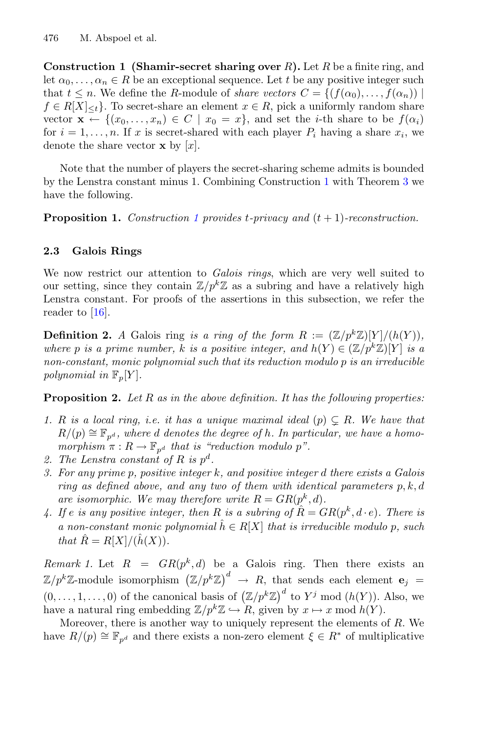**Construction 1 (Shamir-secret sharing over** R**).** Let R be a finite ring, and let  $\alpha_0, \ldots, \alpha_n \in R$  be an exceptional sequence. Let t be any positive integer such that  $t \leq n$ . We define the R-module of *share vectors*  $C = \{ (f(\alpha_0), \ldots, f(\alpha_n)) \mid$  $f \in R[X]_{\leq t}$ . To secret-share an element  $x \in R$ , pick a uniformly random share vector  $\mathbf{x} \leftarrow \{(x_0, \ldots, x_n) \in C \mid x_0 = x\}$ , and set the *i*-th share to be  $f(\alpha_i)$ for  $i = 1, \ldots, n$ . If x is secret-shared with each player  $P_i$  having a share  $x_i$ , we denote the share vector  $\mathbf{x}$  by  $[x]$ .

Note that the number of players the secret-sharing scheme admits is bounded by the Lenstra constant minus 1. Combining Construction [1](#page-4-0) with Theorem [3](#page-4-1) we have the following.

**Proposition 1.** *Construction [1](#page-4-0) provides* t*-privacy and* (t + 1)*-reconstruction.*

## **2.3 Galois Rings**

We now restrict our attention to *Galois rings*, which are very well suited to our setting, since they contain  $\mathbb{Z}/p^k\mathbb{Z}$  as a subring and have a relatively high Lenstra constant. For proofs of the assertions in this subsection, we refer the reader to [\[16\]](#page-30-4).

**Definition 2.** *A* Galois ring *is a ring of the form*  $R := (\mathbb{Z}/p^k\mathbb{Z})[Y]/(h(Y)),$ *where* p *is a prime number,* k *is a positive integer, and*  $h(Y) \in (\mathbb{Z}/p^k\mathbb{Z})[Y]$  *is a non-constant, monic polynomial such that its reduction modulo* p *is an irreducible polynomial in*  $\mathbb{F}_p[Y]$ *.* 

<span id="page-5-1"></span>**Proposition 2.** *Let* R *as in the above definition. It has the following properties:*

- <span id="page-5-0"></span>1. R is a local ring, i.e. it has a unique maximal ideal  $(p) \subsetneq R$ . We have that  $R/(p) \cong \mathbb{F}_{n^d}$ , where d denotes the degree of h. In particular, we have a homo*morphism*  $\pi: R \to \mathbb{F}_{p^d}$  *that is "reduction modulo p".*
- *2. The Lenstra constant of* R *is* p<sup>d</sup>*.*
- *3. For any prime* p*, positive integer* k*, and positive integer* d *there exists a Galois ring as defined above, and any two of them with identical parameters* p, k, d *are isomorphic.* We may therefore write  $R = GR(p^k, d)$ .
- 4. If e is any positive integer, then R is a subring of  $R = GR(p^k, d \cdot e)$ . There is *a* non-constant monic polynomial  $\hat{h} \in R[X]$  that is irreducible modulo p, such *that*  $\hat{R} = R[X]/(\hat{h}(X)).$

<span id="page-5-2"></span>*Remark 1.* Let  $R = GR(p^k, d)$  be a Galois ring. Then there exists an  $\mathbb{Z}/p^k\mathbb{Z}$ -module isomorphism  $(\mathbb{Z}/p^k\mathbb{Z})^d \to R$ , that sends each element **e**<sub>j</sub> =  $(0,\ldots,1,\ldots,0)$  of the canonical basis of  $(\mathbb{Z}/p^k\mathbb{Z})^d$  to  $Y^j$  mod  $(h(Y))$ . Also, we have a natural ring embedding  $\mathbb{Z}/p^k\mathbb{Z} \hookrightarrow R$ , given by  $x \mapsto x \mod h(Y)$ .

Moreover, there is another way to uniquely represent the elements of  $R$ . We have  $R/(p) \cong \mathbb{F}_{p^d}$  and there exists a non-zero element  $\xi \in R^*$  of multiplicative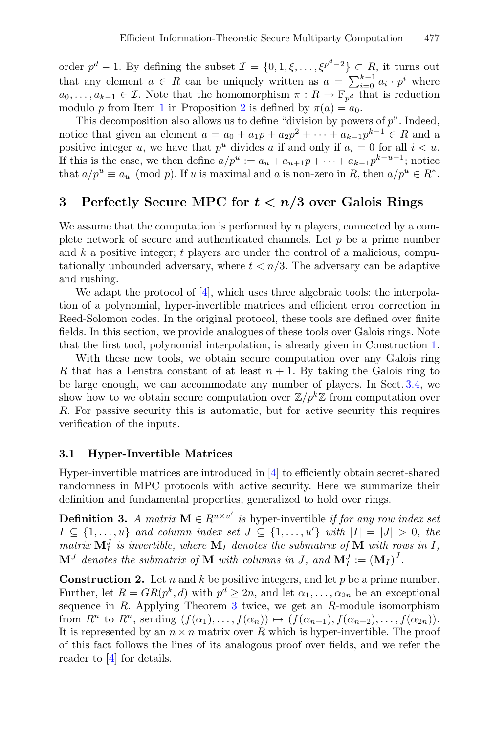order  $p^d - 1$ . By defining the subset  $\mathcal{I} = \{0, 1, \xi, \ldots, \xi^{p^d - 2}\} \subset R$ , it turns out that any element  $a \in R$  can be uniquely written as  $a = \sum_{i=0}^{k-1} a_i \cdot p^i$  where  $a_0, \ldots, a_{k-1} \in \mathcal{I}$ . Note that the homomorphism  $\pi : R \to \mathbb{F}_{p^d}$  that is reduction modulo p from Item [1](#page-5-0) in Proposition [2](#page-5-1) is defined by  $\pi(a) = a_0$ .

This decomposition also allows us to define "division by powers of  $p$ ". Indeed, notice that given an element  $a = a_0 + a_1p + a_2p^2 + \cdots + a_{k-1}p^{k-1} \in R$  and a positive integer u, we have that  $p^u$  divides a if and only if  $a_i = 0$  for all  $i < u$ . If this is the case, we then define  $a/p^u := a_u + a_{u+1}p + \cdots + a_{k-1}p^{k-u-1}$ ; notice that  $a/p^u \equiv a_u \pmod{p}$ . If u is maximal and a is non-zero in R, then  $a/p^u \in R^*$ .

## <span id="page-6-0"></span>**3 Perfectly Secure MPC for** *t < n/***3 over Galois Rings**

We assume that the computation is performed by  $n$  players, connected by a complete network of secure and authenticated channels. Let  $p$  be a prime number and k a positive integer; t players are under the control of a malicious, computationally unbounded adversary, where  $t < n/3$ . The adversary can be adaptive and rushing.

We adapt the protocol of [\[4](#page-29-6)], which uses three algebraic tools: the interpolation of a polynomial, hyper-invertible matrices and efficient error correction in Reed-Solomon codes. In the original protocol, these tools are defined over finite fields. In this section, we provide analogues of these tools over Galois rings. Note that the first tool, polynomial interpolation, is already given in Construction [1.](#page-4-0)

With these new tools, we obtain secure computation over any Galois ring R that has a Lenstra constant of at least  $n + 1$ . By taking the Galois ring to be large enough, we can accommodate any number of players. In Sect. [3.4,](#page-9-0) we show how to we obtain secure computation over  $\mathbb{Z}/p^k\mathbb{Z}$  from computation over R. For passive security this is automatic, but for active security this requires verification of the inputs.

### **3.1 Hyper-Invertible Matrices**

Hyper-invertible matrices are introduced in [\[4\]](#page-29-6) to efficiently obtain secret-shared randomness in MPC protocols with active security. Here we summarize their definition and fundamental properties, generalized to hold over rings.

**Definition 3.** *A matrix*  $\mathbf{M} \in R^{u \times u'}$  *is* hyper-invertible *if for any row index set*  $I \subseteq \{1, \ldots, u\}$  and column index set  $J \subseteq \{1, \ldots, u'\}$  with  $|I| = |J| > 0$ , the *matrix*  $\mathbf{M}_I^J$  *is invertible, where*  $\mathbf{M}_I$  *denotes the submatrix of*  $\mathbf{M}$  *with rows in* I,  $\mathbf{M}^J$  denotes the submatrix of  $\mathbf{M}$  with columns in J, and  $\mathbf{M}_I^J := (\mathbf{M}_I)^J$ .

<span id="page-6-1"></span>**Construction 2.** Let n and k be positive integers, and let p be a prime number. Further, let  $R = GR(p^k, d)$  with  $p^d \geq 2n$ , and let  $\alpha_1, \ldots, \alpha_{2n}$  be an exceptional sequence in  $R$ . Applying Theorem [3](#page-4-1) twice, we get an  $R$ -module isomorphism from  $R^n$  to  $R^n$ , sending  $(f(\alpha_1),...,f(\alpha_n)) \mapsto (f(\alpha_{n+1}),f(\alpha_{n+2}),...,f(\alpha_{2n})).$ It is represented by an  $n \times n$  matrix over R which is hyper-invertible. The proof of this fact follows the lines of its analogous proof over fields, and we refer the reader to [\[4\]](#page-29-6) for details.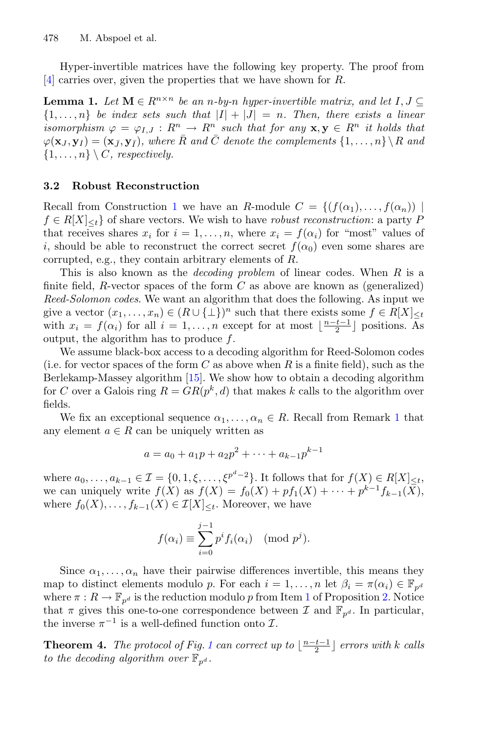Hyper-invertible matrices have the following key property. The proof from [\[4](#page-29-6)] carries over, given the properties that we have shown for R.

**Lemma 1.** *Let*  $M \in \mathbb{R}^{n \times n}$  *be an n-by-n hyper-invertible matrix, and let*  $I, J \subseteq$  ${1, \ldots, n}$  *be index sets such that*  $|I| + |J| = n$ . Then, there exists a linear *isomorphism*  $\varphi = \varphi_{I,J} : R^n \to R^n$  *such that for any*  $\mathbf{x}, \mathbf{y} \in R^n$  *it holds that*  $\varphi(\mathbf{x}_J, \mathbf{y}_I) = (\mathbf{x}_J, \mathbf{y}_I)$ , where  $\overline{R}$  and  $\overline{C}$  denote the complements  $\{1, \ldots, n\} \setminus R$  and  $\{1,\ldots,n\} \setminus C$ *, respectively.* 

#### <span id="page-7-0"></span>**3.2 Robust Reconstruction**

Recall from Construction [1](#page-4-0) we have an R-module  $C = \{ (f(\alpha_1),...,f(\alpha_n)) \mid$  $f \in R[X]_{\leq t}$  of share vectors. We wish to have *robust reconstruction*: a party P that receives shares  $x_i$  for  $i = 1, \ldots, n$ , where  $x_i = f(\alpha_i)$  for "most" values of i, should be able to reconstruct the correct secret  $f(\alpha_0)$  even some shares are corrupted, e.g., they contain arbitrary elements of R.

This is also known as the *decoding problem* of linear codes. When R is a finite field, R-vector spaces of the form  $C$  as above are known as (generalized) *Reed-Solomon codes*. We want an algorithm that does the following. As input we give a vector  $(x_1,...,x_n) \in (R \cup \{\perp\})^n$  such that there exists some  $f \in R[X]_{\leq t}$ with  $x_i = f(\alpha_i)$  for all  $i = 1, \ldots, n$  except for at most  $\lfloor \frac{n-t-1}{2} \rfloor$  positions. As output, the algorithm has to produce  $f$ .

We assume black-box access to a decoding algorithm for Reed-Solomon codes (i.e. for vector spaces of the form C as above when R is a finite field), such as the Berlekamp-Massey algorithm [\[15](#page-30-5)]. We show how to obtain a decoding algorithm for C over a Galois ring  $R = GR(p^k, d)$  that makes k calls to the algorithm over fields.

We fix an exceptional sequence  $\alpha_1, \ldots, \alpha_n \in R$  $\alpha_1, \ldots, \alpha_n \in R$  $\alpha_1, \ldots, \alpha_n \in R$ . Recall from Remark 1 that any element  $a \in R$  can be uniquely written as

$$
a = a_0 + a_1 p + a_2 p^2 + \dots + a_{k-1} p^{k-1}
$$

where  $a_0, ..., a_{k-1} \in \mathcal{I} = \{0, 1, \xi, ..., \xi^{p^d-2}\}\$ . It follows that for  $f(X) \in R[X]_{\leq t}$ , we can uniquely write  $f(X)$  as  $f(X) = f_0(X) + pf_1(X) + \cdots + p^{k-1}f_{k-1}(X)$ , where  $f_0(X),\ldots,f_{k-1}(X) \in \mathcal{I}[X]_{\leq t}$ . Moreover, we have

$$
f(\alpha_i) \equiv \sum_{i=0}^{j-1} p^i f_i(\alpha_i) \pmod{p^j}.
$$

Since  $\alpha_1, \ldots, \alpha_n$  have their pairwise differences invertible, this means they map to distinct elements modulo p. For each  $i = 1, \ldots, n$  let  $\beta_i = \pi(\alpha_i) \in \mathbb{F}_{n^d}$ where  $\pi: R \to \mathbb{F}_{n^d}$  is the reduction modulo p from Item [1](#page-5-0) of Proposition [2.](#page-5-1) Notice that  $\pi$  gives this one-to-one correspondence between  $\mathcal I$  and  $\mathbb F_{p^d}$ . In particular, the inverse  $\pi^{-1}$  is a well-defined function onto  $\mathcal{I}$ .

**Theorem 4.** *The protocol of Fig. [1](#page-8-0) can correct up to*  $\lfloor \frac{n-t-1}{2} \rfloor$  *errors with* k *calls to the decoding algorithm over*  $\mathbb{F}_{p^d}$ *.*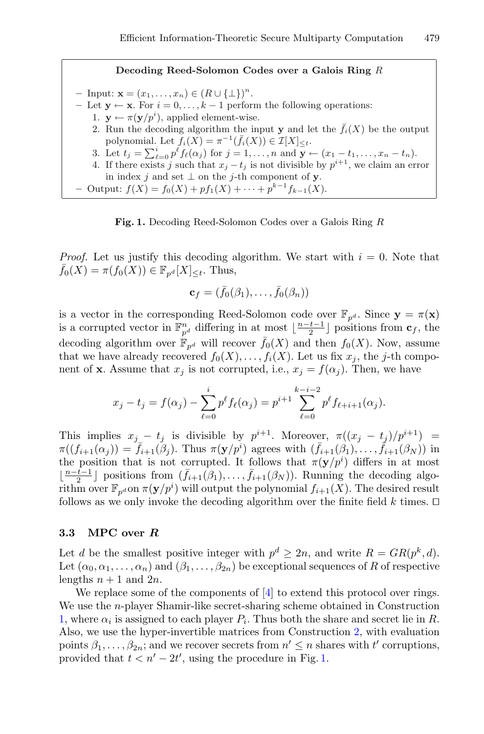#### **Decoding Reed-Solomon Codes over a Galois Ring** R

**–** Input:  $\mathbf{x} = (x_1, ..., x_n) \in (R \cup \{\perp\})^n$ .

- $-$  Let **y** ← **x**. For  $i = 0, ..., k 1$  perform the following operations:
	- 1.  $\mathbf{y} \leftarrow \pi(\mathbf{y}/p^i)$ , applied element-wise.
		- 2. Run the decoding algorithm the input **y** and let the  $\bar{f}_i(X)$  be the output polynomial. Let  $f_i(X) = \pi^{-1}(\bar{f}_i(X)) \in \mathcal{I}[X]_{\leq t}$ .
		- 3. Let  $t_j = \sum_{\ell=0}^i p^{\ell} f_{\ell}(\alpha_j)$  for  $j = 1, ..., n$  and  $\mathbf{y} \leftarrow (x_1 t_1, ..., x_n t_n)$ .
	- 4. If there exists j such that  $x_j t_j$  is not divisible by  $p^{i+1}$ , we claim an error in index j and set  $\perp$  on the j-th component of **y**.
- $-$  Output:  $f(X) = f_0(X) + pf_1(X) + \cdots + p^{k-1}f_{k-1}(X)$ .

<span id="page-8-0"></span>**Fig. 1.** Decoding Reed-Solomon Codes over a Galois Ring R

*Proof.* Let us justify this decoding algorithm. We start with  $i = 0$ . Note that  $\bar{f}_0(X) = \pi(f_0(X)) \in \mathbb{F}_{n^d}[X]_{\leq t}$ . Thus,

$$
\mathbf{c}_f = (\bar{f}_0(\beta_1), \ldots, \bar{f}_0(\beta_n))
$$

is a vector in the corresponding Reed-Solomon code over  $\mathbb{F}_{p^d}$ . Since  $\mathbf{y} = \pi(\mathbf{x})$ is a corrupted vector in  $\mathbb{F}_{p^d}^n$  differing in at most  $\lfloor \frac{n-t-1}{2} \rfloor$  positions from  $\mathbf{c}_f$ , the decoding algorithm over  $\mathbb{F}_{p^d}$  will recover  $\bar{f}_0(X)$  and then  $f_0(X)$ . Now, assume that we have already recovered  $f_0(X),...,f_i(X)$ . Let us fix  $x_j$ , the j-th component of **x**. Assume that  $x_j$  is not corrupted, i.e.,  $x_j = f(\alpha_j)$ . Then, we have

$$
x_j - t_j = f(\alpha_j) - \sum_{\ell=0}^i p^{\ell} f_{\ell}(\alpha_j) = p^{i+1} \sum_{\ell=0}^{k-i-2} p^{\ell} f_{\ell+i+1}(\alpha_j).
$$

This implies  $x_i - t_j$  is divisible by  $p^{i+1}$ . Moreover,  $\pi((x_i - t_i)/p^{i+1}) =$  $\pi((f_{i+1}(\alpha_j)) = \overline{f}_{i+1}(\beta_j)$ . Thus  $\pi(\mathbf{y}/p^i)$  agrees with  $(\overline{f}_{i+1}(\beta_1),\ldots,\overline{f}_{i+1}(\beta_N))$  in the position that is not corrupted. It follows that  $\pi(\mathbf{y}/p^i)$  differs in at most  $\lfloor \frac{n-t-1}{2} \rfloor$  positions from  $(\bar{f}_{i+1}(\beta_1),..., \bar{f}_{i+1}(\beta_N))$ . Running the decoding algorithm over  $\mathbb{F}_{p^d}$  on  $\pi(\mathbf{y}/p^i)$  will output the polynomial  $f_{i+1}(\tilde{X})$ . The desired result follows as we only invoke the decoding algorithm over the finite field  $k$  times.  $\square$ 

#### <span id="page-8-1"></span>**3.3 MPC over** *R*

Let d be the smallest positive integer with  $p^d \geq 2n$ , and write  $R = GR(p^k, d)$ . Let  $(\alpha_0, \alpha_1, \ldots, \alpha_n)$  and  $(\beta_1, \ldots, \beta_{2n})$  be exceptional sequences of R of respective lengths  $n + 1$  and  $2n$ .

We replace some of the components of [\[4\]](#page-29-6) to extend this protocol over rings. We use the n-player Shamir-like secret-sharing scheme obtained in Construction [1,](#page-4-0) where  $\alpha_i$  is assigned to each player  $P_i$ . Thus both the share and secret lie in R. Also, we use the hyper-invertible matrices from Construction [2,](#page-6-1) with evaluation points  $\beta_1, \ldots, \beta_{2n}$ ; and we recover secrets from  $n' \leq n$  shares with  $t'$  corruptions, provided that  $t < n' - 2t'$ , using the procedure in Fig. [1.](#page-8-0)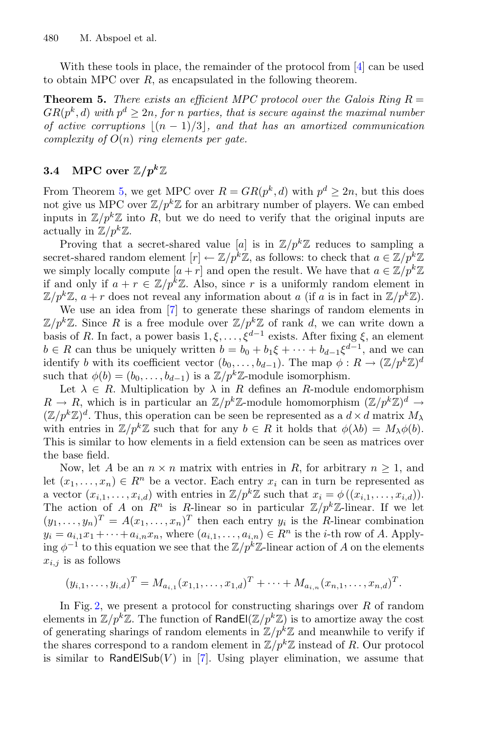<span id="page-9-1"></span>With these tools in place, the remainder of the protocol from [\[4\]](#page-29-6) can be used to obtain MPC over  $R$ , as encapsulated in the following theorem.

**Theorem 5.** *There exists an efficient MPC protocol over the Galois Ring*  $R =$  $GR(p^k, d)$  with  $p^d > 2n$ , for *n* parties, that is secure against the maximal number *of active corruptions*  $|(n-1)/3|$ , and that has an amortized communication *complexity of* O(n) *ring elements per gate.*

### <span id="page-9-0"></span>**3.4** MPC over  $\mathbb{Z}/p^k\mathbb{Z}$

From Theorem [5,](#page-9-1) we get MPC over  $R = GR(p^k, d)$  with  $p^d \geq 2n$ , but this does not give us MPC over  $\mathbb{Z}/p^k\mathbb{Z}$  for an arbitrary number of players. We can embed inputs in  $\mathbb{Z}/p^k\mathbb{Z}$  into R, but we do need to verify that the original inputs are actually in  $\mathbb{Z}/p^k\mathbb{Z}$ .

Proving that a secret-shared value [a] is in  $\mathbb{Z}/p^k\mathbb{Z}$  reduces to sampling a secret-shared random element  $[r] \leftarrow \mathbb{Z}/p^k \mathbb{Z}$ , as follows: to check that  $a \in \mathbb{Z}/p^k \mathbb{Z}$ we simply locally compute  $[a + r]$  and open the result. We have that  $a \in \mathbb{Z}/p^k\mathbb{Z}$ if and only if  $a + r \in \mathbb{Z}/p^k\mathbb{Z}$ . Also, since r is a uniformly random element in  $\mathbb{Z}/p^k\mathbb{Z}, a+r$  does not reveal any information about a (if a is in fact in  $\mathbb{Z}/p^k\mathbb{Z}$ ).

We use an idea from [\[7](#page-29-5)] to generate these sharings of random elements in  $\mathbb{Z}/p^k\mathbb{Z}$ . Since R is a free module over  $\mathbb{Z}/p^k\mathbb{Z}$  of rank d, we can write down a basis of R. In fact, a power basis  $1, \xi, \ldots, \xi^{d-1}$  exists. After fixing  $\xi$ , an element  $b \in R$  can thus be uniquely written  $b = b_0 + b_1\xi + \cdots + b_{d-1}\xi^{d-1}$ , and we can identify b with its coefficient vector  $(b_0,\ldots,b_{d-1})$ . The map  $\phi: R \to (\mathbb{Z}/p^k\mathbb{Z})^d$ such that  $\phi(b)=(b_0,\ldots,b_{d-1})$  is a  $\mathbb{Z}/p^k\mathbb{Z}$ -module isomorphism.

Let  $\lambda \in R$ . Multiplication by  $\lambda$  in R defines an R-module endomorphism  $R \to R$ , which is in particular an  $\mathbb{Z}/p^k\mathbb{Z}$ -module homomorphism  $(\mathbb{Z}/p^k\mathbb{Z})^d \to$  $(\mathbb{Z}/p^k\mathbb{Z})^d$ . Thus, this operation can be seen be represented as a  $d \times d$  matrix  $M_{\lambda}$ with entries in  $\mathbb{Z}/p^k\mathbb{Z}$  such that for any  $b \in R$  it holds that  $\phi(\lambda b) = M_\lambda \phi(b)$ . This is similar to how elements in a field extension can be seen as matrices over the base field.

Now, let A be an  $n \times n$  matrix with entries in R, for arbitrary  $n \geq 1$ , and let  $(x_1,...,x_n) \in R^n$  be a vector. Each entry  $x_i$  can in turn be represented as a vector  $(x_{i,1},...,x_{i,d})$  with entries in  $\mathbb{Z}/p^k\mathbb{Z}$  such that  $x_i = \phi((x_{i,1},...,x_{i,d}))$ . The action of A on  $R^n$  is R-linear so in particular  $\mathbb{Z}/p^k\mathbb{Z}$ -linear. If we let  $(y_1,\ldots,y_n)^T = A(x_1,\ldots,x_n)^T$  then each entry  $y_i$  is the R-linear combination  $y_i = a_{i,1}x_1 + \cdots + a_{i,n}x_n$ , where  $(a_{i,1},\ldots,a_{i,n}) \in R^n$  is the *i*-th row of A. Applying  $\phi^{-1}$  to this equation we see that the Z/p<sup>k</sup>Z-linear action of A on the elements  $x_{i,j}$  is as follows

$$
(y_{i,1},\ldots,y_{i,d})^T = M_{a_{i,1}}(x_{1,1},\ldots,x_{1,d})^T + \cdots + M_{a_{i,n}}(x_{n,1},\ldots,x_{n,d})^T.
$$

In Fig. [2,](#page-10-0) we present a protocol for constructing sharings over  $R$  of random elements in  $\mathbb{Z}/p^k\mathbb{Z}$ . The function of RandEl( $\mathbb{Z}/p^k\mathbb{Z}$ ) is to amortize away the cost of generating sharings of random elements in  $\mathbb{Z}/p^k\mathbb{Z}$  and meanwhile to verify if the shares correspond to a random element in  $\mathbb{Z}/p^k\mathbb{Z}$  instead of R. Our protocol is similar to RandElSub(V) in [\[7\]](#page-29-5). Using player elimination, we assume that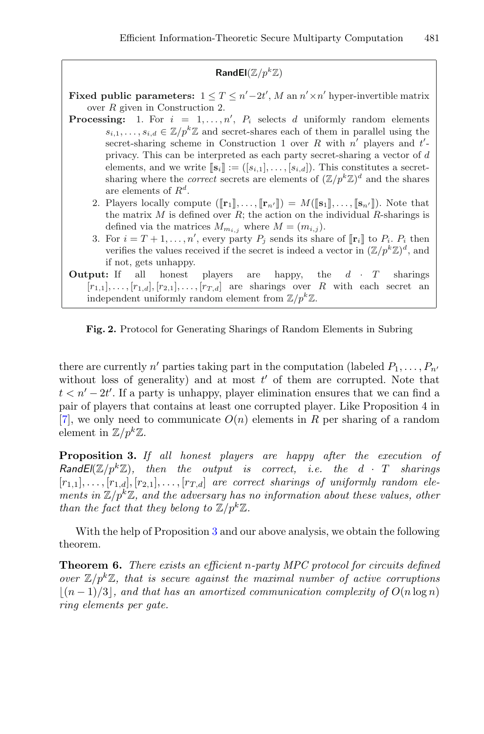**RandEl**( $\mathbb{Z}/p^k\mathbb{Z}$ )

**Fixed public parameters:**  $1 \leq T \leq n' - 2t'$ , M an  $n' \times n'$  hyper-invertible matrix over R given in Construction 2.

- **Processing:** 1. For  $i = 1, ..., n'$ ,  $P_i$  selects d uniformly random elements  $s_{i,1},\ldots,s_{i,d} \in \mathbb{Z}/p^k\mathbb{Z}$  and secret-shares each of them in parallel using the secret-sharing scheme in Construction 1 over R with  $n'$  players and  $t'$ privacy. This can be interpreted as each party secret-sharing a vector of d elements, and we write  $[\mathbf{s}_i] := ([s_{i,1}], \ldots, [s_{i,d}])$ . This constitutes a secretsharing where the *correct* secrets are elements of  $(\mathbb{Z}/p^k\mathbb{Z})^d$  and the shares are elements of  $R^d$ .
	- 2. Players locally compute  $([\mathbf{r}_1], \ldots, [\mathbf{r}_{n'}]) = M([\mathbf{s}_1], \ldots, [\mathbf{s}_{n'}])$ . Note that the matrix  $M$  is defined over  $R$ ; the action on the individual  $R$ -sharings is defined via the matrices  $M_{m_{i,j}}$  where  $M = (m_{i,j}).$
	- 3. For  $i = T + 1, \ldots, n'$ , every party  $P_j$  sends its share of  $[\![\mathbf{r}_i]\!]$  to  $P_i$ .  $P_i$  then verifies the values received if the secret is indeed a vector in  $(\mathbb{Z}/p^k\mathbb{Z})^d$ , and if not, gets unhappy.

**Output:** If all honest players are happy, the  $d \cdot T$  sharings  $[r_{1,1}],\ldots,[r_{1,d}],[r_{2,1}],\ldots,[r_{T,d}]$  are sharings over R with each secret an independent uniformly random element from  $\mathbb{Z}/p^k\mathbb{Z}$ .

<span id="page-10-0"></span>**Fig. 2.** Protocol for Generating Sharings of Random Elements in Subring

there are currently n' parties taking part in the computation (labeled  $P_1, \ldots, P_{n'}$ without loss of generality) and at most  $t'$  of them are corrupted. Note that  $t < n' - 2t'$ . If a party is unhappy, player elimination ensures that we can find a pair of players that contains at least one corrupted player. Like Proposition 4 in [\[7](#page-29-5)], we only need to communicate  $O(n)$  elements in R per sharing of a random element in  $\mathbb{Z}/p^k\mathbb{Z}$ .

<span id="page-10-1"></span>**Proposition 3.** *If all honest players are happy after the execution of RandEl*( $\mathbb{Z}/p^k\mathbb{Z}$ ), then the output is correct, i.e. the  $d \cdot T$  sharings  $[r_{1,1}], \ldots, [r_{1,d}], [r_{2,1}], \ldots, [r_{T,d}]$  are correct sharings of uniformly random ele*ments in*  $\mathbb{Z}/p^k\mathbb{Z}$ *, and the adversary has no information about these values, other than the fact that they belong to*  $\mathbb{Z}/p^k\mathbb{Z}$ *.* 

With the help of Proposition [3](#page-10-1) and our above analysis, we obtain the following theorem.

**Theorem 6.** *There exists an efficient* n*-party MPC protocol for circuits defined over*  $\mathbb{Z}/p^k\mathbb{Z}$ , that is secure against the maximal number of active corruptions  $|(n-1)/3|$ , and that has an amortized communication complexity of  $O(n \log n)$ *ring elements per gate.*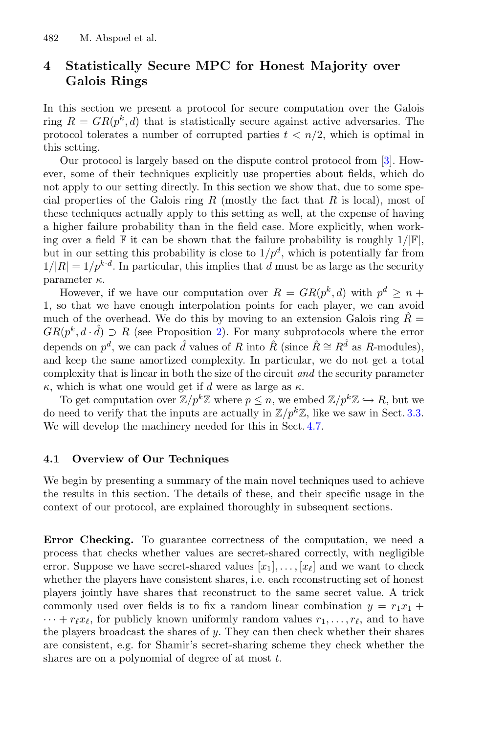## <span id="page-11-0"></span>**4 Statistically Secure MPC for Honest Majority over Galois Rings**

In this section we present a protocol for secure computation over the Galois ring  $R = GR(p^k, d)$  that is statistically secure against active adversaries. The protocol tolerates a number of corrupted parties  $t < n/2$ , which is optimal in this setting.

Our protocol is largely based on the dispute control protocol from [\[3\]](#page-29-7). However, some of their techniques explicitly use properties about fields, which do not apply to our setting directly. In this section we show that, due to some special properties of the Galois ring R (mostly the fact that R is local), most of these techniques actually apply to this setting as well, at the expense of having a higher failure probability than in the field case. More explicitly, when working over a field  $\mathbb F$  it can be shown that the failure probability is roughly  $1/|\mathbb F|$ , but in our setting this probability is close to  $1/p<sup>d</sup>$ , which is potentially far from  $1/|R| = 1/p^{k \cdot d}$ . In particular, this implies that d must be as large as the security parameter  $\kappa$ .

However, if we have our computation over  $R = GR(p^k, d)$  with  $p^d \geq n +$ 1, so that we have enough interpolation points for each player, we can avoid much of the overhead. We do this by moving to an extension Galois ring  $\bar{R}$  =  $GR(p^k, d \cdot \hat{d}) \supset R$  (see Proposition [2\)](#page-5-1). For many subprotocols where the error depends on  $p^d$ , we can pack  $\hat{d}$  values of R into  $\hat{R}$  (since  $\hat{R} \cong R^{\hat{d}}$  as R-modules), and keep the same amortized complexity. In particular, we do not get a total complexity that is linear in both the size of the circuit *and* the security parameter  $\kappa$ , which is what one would get if d were as large as  $\kappa$ .

To get computation over  $\mathbb{Z}/p^k\mathbb{Z}$  where  $p \leq n$ , we embed  $\mathbb{Z}/p^k\mathbb{Z} \hookrightarrow R$ , but we do need to verify that the inputs are actually in  $\mathbb{Z}/p^k\mathbb{Z}$ , like we saw in Sect. [3.3.](#page-8-1) We will develop the machinery needed for this in Sect. [4.7.](#page-26-0)

#### <span id="page-11-2"></span>**4.1 Overview of Our Techniques**

We begin by presenting a summary of the main novel techniques used to achieve the results in this section. The details of these, and their specific usage in the context of our protocol, are explained thoroughly in subsequent sections.

<span id="page-11-1"></span>**Error Checking.** To guarantee correctness of the computation, we need a process that checks whether values are secret-shared correctly, with negligible error. Suppose we have secret-shared values  $[x_1], \ldots, [x_\ell]$  and we want to check whether the players have consistent shares, i.e. each reconstructing set of honest players jointly have shares that reconstruct to the same secret value. A trick commonly used over fields is to fix a random linear combination  $y = r_1x_1 +$  $\cdots + r_{\ell}x_{\ell}$ , for publicly known uniformly random values  $r_1, \ldots, r_{\ell}$ , and to have the players broadcast the shares of  $y$ . They can then check whether their shares are consistent, e.g. for Shamir's secret-sharing scheme they check whether the shares are on a polynomial of degree of at most  $t$ .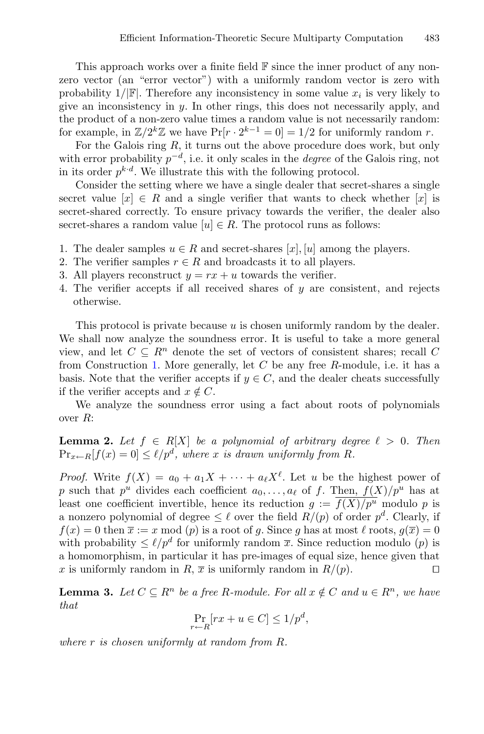This approach works over a finite field F since the inner product of any nonzero vector (an "error vector") with a uniformly random vector is zero with probability  $1/|\mathbb{F}|$ . Therefore any inconsistency in some value  $x_i$  is very likely to give an inconsistency in  $y$ . In other rings, this does not necessarily apply, and the product of a non-zero value times a random value is not necessarily random: for example, in  $\mathbb{Z}/2^k\mathbb{Z}$  we have  $Pr[r \cdot 2^{k-1} = 0] = 1/2$  for uniformly random r.

For the Galois ring  $R$ , it turns out the above procedure does work, but only with error probability  $p^{-d}$ , i.e. it only scales in the *degree* of the Galois ring, not in its order  $p^{k \cdot d}$ . We illustrate this with the following protocol.

Consider the setting where we have a single dealer that secret-shares a single secret value  $[x] \in R$  and a single verifier that wants to check whether  $[x]$  is secret-shared correctly. To ensure privacy towards the verifier, the dealer also secret-shares a random value  $[u] \in R$ . The protocol runs as follows:

- 1. The dealer samples  $u \in R$  and secret-shares [x], [u] among the players.
- 2. The verifier samples  $r \in R$  and broadcasts it to all players.
- 3. All players reconstruct  $y = rx + u$  towards the verifier.
- 4. The verifier accepts if all received shares of y are consistent, and rejects otherwise.

This protocol is private because u is chosen uniformly random by the dealer. We shall now analyze the soundness error. It is useful to take a more general view, and let  $C \subseteq R^n$  denote the set of vectors of consistent shares; recall  $C$ from Construction [1.](#page-4-0) More generally, let  $C$  be any free  $R$ -module, i.e. it has a basis. Note that the verifier accepts if  $y \in C$ , and the dealer cheats successfully if the verifier accepts and  $x \notin C$ .

<span id="page-12-1"></span>We analyze the soundness error using a fact about roots of polynomials over R:

**Lemma 2.** Let  $f \in R[X]$  be a polynomial of arbitrary degree  $\ell > 0$ . Then  $\Pr_{x \leftarrow R}[f(x) = 0] \leq \ell/p^d$ , where x *is drawn uniformly from R*.

*Proof.* Write  $f(X) = a_0 + a_1 X + \cdots + a_\ell X^\ell$ . Let u be the highest power of p such that  $p^u$  divides each coefficient  $a_0, \ldots, a_\ell$  of f. Then,  $f(X)/p^u$  has at least one coefficient invertible, hence its reduction  $g := \overline{f(X)/p^u}$  modulo p is a nonzero polynomial of degree  $\leq \ell$  over the field  $R/(p)$  of order  $p^d$ . Clearly, if  $f(x) = 0$  then  $\overline{x} := x \mod (p)$  is a root of g. Since g has at most  $\ell$  roots,  $g(\overline{x}) = 0$ with probability  $\leq \ell/p^d$  for uniformly random  $\bar{x}$ . Since reduction modulo (p) is a homomorphism, in particular it has pre-images of equal size, hence given that x is uniformly random in R,  $\bar{x}$  is uniformly random in  $R/(p)$ .  $\Box$ 

<span id="page-12-0"></span>**Lemma 3.** *Let*  $C \subseteq R^n$  *be a free*  $R$ *-module. For all*  $x \notin C$  *and*  $u \in R^n$ *, we have that*

$$
\Pr_{r \leftarrow R}[rx + u \in C] \le 1/p^d,
$$

*where* r *is chosen uniformly at random from* R*.*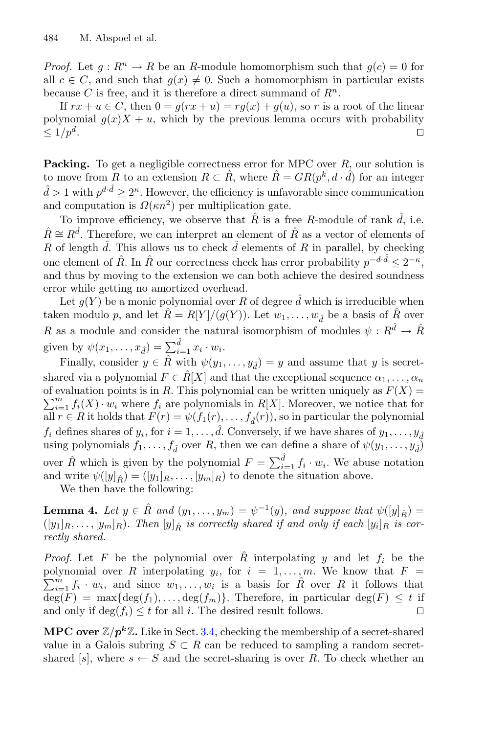*Proof.* Let  $q: \mathbb{R}^n \to \mathbb{R}$  be an R-module homomorphism such that  $q(c) = 0$  for all  $c \in C$ , and such that  $q(x) \neq 0$ . Such a homomorphism in particular exists because C is free, and it is therefore a direct summand of  $R^n$ .

If  $rx + u \in C$ , then  $0 = q(rx + u) = rq(x) + q(u)$ , so r is a root of the linear polynomial  $g(x)X + u$ , which by the previous lemma occurs with probability  $\leq 1/p^d$ .  $\Box$ 

<span id="page-13-0"></span>**Packing.** To get a negligible correctness error for MPC over R, our solution is to move from R to an extension  $R \subset \hat{R}$ , where  $\hat{R} = GR(p^k, d \cdot \hat{d})$  for an integer  $\hat{d} > 1$  with  $p^{d \cdot \hat{d}} \geq 2^{\kappa}$ . However, the efficiency is unfavorable since communication and computation is  $\Omega(\kappa n^2)$  per multiplication gate.

To improve efficiency, we observe that  $\hat{R}$  is a free R-module of rank  $\hat{d}$ , i.e.  $\hat{R} \cong R^{\hat{d}}$ . Therefore, we can interpret an element of  $\hat{R}$  as a vector of elements of R of length  $\hat{d}$ . This allows us to check  $\hat{d}$  elements of R in parallel, by checking one element of  $\hat{R}$ . In  $\hat{R}$  our correctness check has error probability  $p^{-d\cdot\hat{d}} < 2^{-\kappa}$ , and thus by moving to the extension we can both achieve the desired soundness error while getting no amortized overhead.

Let  $g(Y)$  be a monic polynomial over R of degree  $\hat{d}$  which is irreducible when taken modulo p, and let  $\hat{R} = R[Y]/(g(Y))$ . Let  $w_1, \ldots, w_{\hat{d}}$  be a basis of  $\hat{R}$  over R as a module and consider the natural isomorphism of modules  $\psi : R^{\hat{d}} \to \hat{R}$ given by  $\psi(x_1,\ldots,x_{\hat{d}}) = \sum_{i=1}^{\hat{d}} x_i \cdot w_i$ .

Finally, consider  $y \in \hat{R}$  with  $\psi(y_1,\ldots,y_{\hat{d}}) = y$  and assume that y is secretshared via a polynomial  $F \in \hat{R}[X]$  and that the exceptional sequence  $\alpha_1, \ldots, \alpha_n$  $\sum_{i=1}^{m} f_i(X) \cdot w_i$  where  $f_i$  are polynomials in  $R[X]$ . Moreover, we notice that for of evaluation points is in R. This polynomial can be written uniquely as  $F(X) =$ all  $r \in R$  it holds that  $F(r) = \psi(f_1(r), \ldots, f_d(r))$ , so in particular the polynomial  $f_i$  defines shares of  $y_i$ , for  $i = 1, \ldots, \hat{d}$ . Conversely, if we have shares of  $y_1, \ldots, y_{\hat{d}}$ using polynomials  $f_1, \ldots, f_{\hat{d}}$  over R, then we can define a share of  $\psi(y_1, \ldots, y_{\hat{d}})$ over  $\hat{R}$  which is given by the polynomial  $F = \sum_{i=1}^{d} f_i \cdot w_i$ . We abuse notation and write  $\psi([y]_{\hat{R}}) = ([y_1]_R, \ldots, [y_m]_R)$  to denote the situation above.

<span id="page-13-1"></span>We then have the following:

**Lemma 4.** Let  $y \in \hat{R}$  and  $(y_1, \ldots, y_m) = \psi^{-1}(y)$ , and suppose that  $\psi([y]_{\hat{R}}) =$  $([y_1]_R, \ldots, [y_m]_R)$ . Then  $[y]_R$  is correctly shared if and only if each  $[y_i]_R$  is cor*rectly shared.*

*Proof.* Let F be the polynomial over  $\hat{R}$  interpolating y and let  $f_i$  be the polynomial over R interpolating  $y_i$ , for  $i = 1, \ldots, m$ . We know that  $F = \sum_{i=1}^{m} f_i$  $\sum_{i=1}^{m} f_i \cdot w_i$ , and since  $w_1, \ldots, w_i$  is a basis for  $\hat{R}$  over R it follows that  $deg(F) = max{deg(f_1), \ldots, deg(f_m)}$ . Therefore, in particular  $deg(F) \leq t$  if and only if  $\deg(f_i) \leq t$  for all i. The desired result follows.  $\Box$ 

**MPC over**  $\mathbb{Z}/p^k\mathbb{Z}$ . Like in Sect. [3.4,](#page-9-0) checking the membership of a secret-shared value in a Galois subring  $S \subset R$  can be reduced to sampling a random secretshared [s], where  $s \leftarrow S$  and the secret-sharing is over R. To check whether an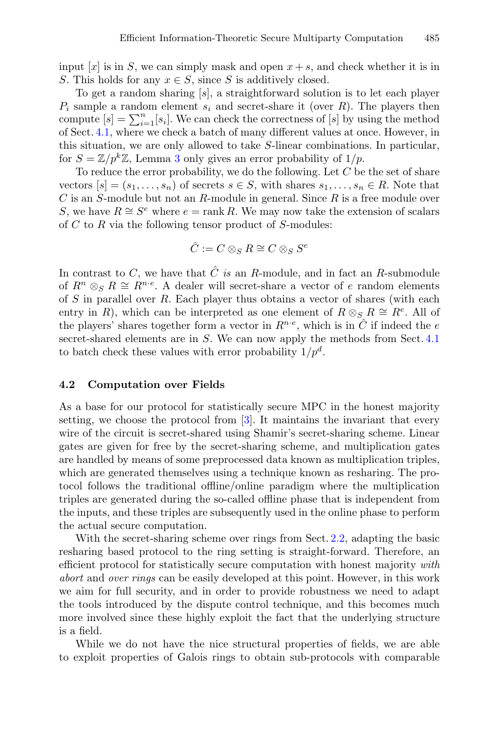input  $[x]$  is in S, we can simply mask and open  $x + s$ , and check whether it is in S. This holds for any  $x \in S$ , since S is additively closed.

To get a random sharing [s], a straightforward solution is to let each player  $P_i$  sample a random element  $s_i$  and secret-share it (over R). The players then compute  $[s] = \sum_{i=1}^{n} [s_i]$ . We can check the correctness of  $[s]$  by using the method of Sect. [4.1,](#page-11-1) where we check a batch of many different values at once. However, in this situation, we are only allowed to take S-linear combinations. In particular, for  $S = \mathbb{Z}/p^k\mathbb{Z}$ , Lemma [3](#page-12-0) only gives an error probability of  $1/p$ .

To reduce the error probability, we do the following. Let  $C$  be the set of share vectors  $[s]=(s_1,\ldots,s_n)$  of secrets  $s \in S$ , with shares  $s_1,\ldots,s_n \in R$ . Note that  $C$  is an S-module but not an R-module in general. Since  $R$  is a free module over S, we have  $R \cong S^e$  where  $e = \text{rank } R$ . We may now take the extension of scalars of  $C$  to  $R$  via the following tensor product of  $S$ -modules:

$$
\hat{C} := C \otimes_S R \cong C \otimes_S S^e
$$

In contrast to  $C$ , we have that  $\hat{C}$  *is* an R-module, and in fact an R-submodule of  $R^n \otimes_S R \cong R^{n \cdot e}$ . A dealer will secret-share a vector of e random elements of S in parallel over R. Each player thus obtains a vector of shares (with each entry in R), which can be interpreted as one element of  $R \otimes_{S} R \cong R^{e}$ . All of the players' shares together form a vector in  $R^{n \cdot e}$ , which is in  $\ddot{C}$  if indeed the  $e$ secret-shared elements are in S. We can now apply the methods from Sect. [4.1](#page-11-1) to batch check these values with error probability  $1/p^d$ .

#### **4.2 Computation over Fields**

As a base for our protocol for statistically secure MPC in the honest majority setting, we choose the protocol from [\[3\]](#page-29-7). It maintains the invariant that every wire of the circuit is secret-shared using Shamir's secret-sharing scheme. Linear gates are given for free by the secret-sharing scheme, and multiplication gates are handled by means of some preprocessed data known as multiplication triples, which are generated themselves using a technique known as resharing. The protocol follows the traditional offline/online paradigm where the multiplication triples are generated during the so-called offline phase that is independent from the inputs, and these triples are subsequently used in the online phase to perform the actual secure computation.

With the secret-sharing scheme over rings from Sect. [2.2,](#page-3-3) adapting the basic resharing based protocol to the ring setting is straight-forward. Therefore, an efficient protocol for statistically secure computation with honest majority *with abort* and *over rings* can be easily developed at this point. However, in this work we aim for full security, and in order to provide robustness we need to adapt the tools introduced by the dispute control technique, and this becomes much more involved since these highly exploit the fact that the underlying structure is a field.

While we do not have the nice structural properties of fields, we are able to exploit properties of Galois rings to obtain sub-protocols with comparable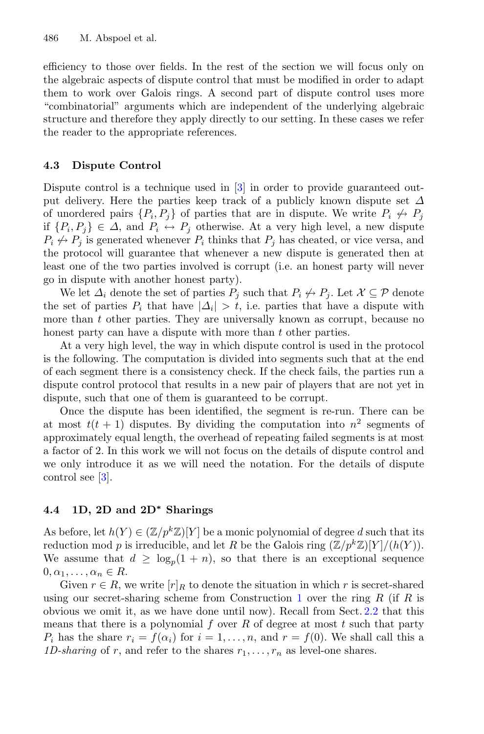efficiency to those over fields. In the rest of the section we will focus only on the algebraic aspects of dispute control that must be modified in order to adapt them to work over Galois rings. A second part of dispute control uses more "combinatorial" arguments which are independent of the underlying algebraic structure and therefore they apply directly to our setting. In these cases we refer the reader to the appropriate references.

#### **4.3 Dispute Control**

Dispute control is a technique used in [\[3](#page-29-7)] in order to provide guaranteed output delivery. Here the parties keep track of a publicly known dispute set  $\Delta$ of unordered pairs  $\{P_i, P_j\}$  of parties that are in dispute. We write  $P_i \nleftrightarrow P_j$ if  $\{P_i, P_j\} \in \Delta$ , and  $P_i \leftrightarrow P_j$  otherwise. At a very high level, a new dispute  $P_i \nleftrightarrow P_j$  is generated whenever  $P_i$  thinks that  $P_j$  has cheated, or vice versa, and the protocol will guarantee that whenever a new dispute is generated then at least one of the two parties involved is corrupt (i.e. an honest party will never go in dispute with another honest party).

We let  $\Delta_i$  denote the set of parties  $P_j$  such that  $P_i \nleftrightarrow P_j$ . Let  $\mathcal{X} \subseteq \mathcal{P}$  denote the set of parties  $P_i$  that have  $|\Delta_i| > t$ , i.e. parties that have a dispute with more than  $t$  other parties. They are universally known as corrupt, because no honest party can have a dispute with more than t other parties.

At a very high level, the way in which dispute control is used in the protocol is the following. The computation is divided into segments such that at the end of each segment there is a consistency check. If the check fails, the parties run a dispute control protocol that results in a new pair of players that are not yet in dispute, such that one of them is guaranteed to be corrupt.

Once the dispute has been identified, the segment is re-run. There can be at most  $t(t + 1)$  disputes. By dividing the computation into  $n^2$  segments of approximately equal length, the overhead of repeating failed segments is at most a factor of 2. In this work we will not focus on the details of dispute control and we only introduce it as we will need the notation. For the details of dispute control see [\[3\]](#page-29-7).

### <span id="page-15-0"></span>**4.4 1D, 2D and 2D***<sup>∗</sup>* **Sharings**

As before, let  $h(Y) \in (\mathbb{Z}/p^k\mathbb{Z})[Y]$  be a monic polynomial of degree d such that its reduction mod p is irreducible, and let R be the Galois ring  $(\mathbb{Z}/p^k\mathbb{Z})[Y]/(h(Y))$ . We assume that  $d \geq \log_p(1+n)$ , so that there is an exceptional sequence  $0, \alpha_1, \ldots, \alpha_n \in R$ .

Given  $r \in R$ , we write  $[r]_R$  to denote the situation in which r is secret-shared using our secret-sharing scheme from Construction [1](#page-4-0) over the ring  $R$  (if  $R$  is obvious we omit it, as we have done until now). Recall from Sect. [2.2](#page-3-3) that this means that there is a polynomial  $f$  over  $R$  of degree at most  $t$  such that party  $P_i$  has the share  $r_i = f(\alpha_i)$  for  $i = 1, \ldots, n$ , and  $r = f(0)$ . We shall call this a *1D-sharing* of r, and refer to the shares  $r_1, \ldots, r_n$  as level-one shares.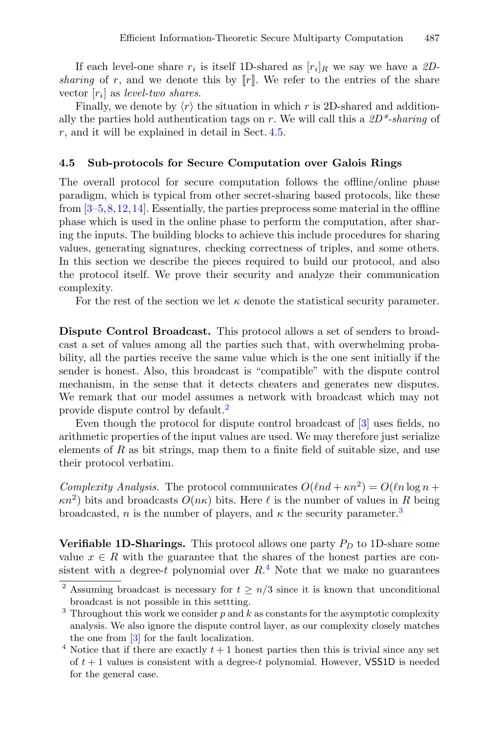If each level-one share  $r_i$  is itself 1D-shared as  $[r_i]_R$  we say we have a 2D*sharing* of r, and we denote this by  $\llbracket r \rrbracket$ . We refer to the entries of the share vector [ri] as *level-two shares*.

Finally, we denote by  $\langle r \rangle$  the situation in which r is 2D-shared and additionally the parties hold authentication tags on r. We will call this a *2D\*-sharing* of r, and it will be explained in detail in Sect. [4.5.](#page-20-0)

#### **4.5 Sub-protocols for Secure Computation over Galois Rings**

The overall protocol for secure computation follows the offline/online phase paradigm, which is typical from other secret-sharing based protocols, like these from [\[3](#page-29-7)[–5,](#page-29-8)[8,](#page-29-2)[12](#page-30-1)[,14](#page-30-2)]. Essentially, the parties preprocess some material in the offline phase which is used in the online phase to perform the computation, after sharing the inputs. The building blocks to achieve this include procedures for sharing values, generating signatures, checking correctness of triples, and some others. In this section we describe the pieces required to build our protocol, and also the protocol itself. We prove their security and analyze their communication complexity.

For the rest of the section we let  $\kappa$  denote the statistical security parameter.

**Dispute Control Broadcast.** This protocol allows a set of senders to broadcast a set of values among all the parties such that, with overwhelming probability, all the parties receive the same value which is the one sent initially if the sender is honest. Also, this broadcast is "compatible" with the dispute control mechanism, in the sense that it detects cheaters and generates new disputes. We remark that our model assumes a network with broadcast which may not provide dispute control by default.[2](#page-16-0)

Even though the protocol for dispute control broadcast of [\[3\]](#page-29-7) uses fields, no arithmetic properties of the input values are used. We may therefore just serialize elements of  $R$  as bit strings, map them to a finite field of suitable size, and use their protocol verbatim.

*Complexity Analysis.* The protocol communicates  $O(\ln d + \kappa n^2) = O(\ln \log n +$  $\kappa n^2$ ) bits and broadcasts  $O(n\kappa)$  bits. Here  $\ell$  is the number of values in R being broadcasted, n is the number of players, and  $\kappa$  the security parameter.<sup>[3](#page-16-1)</sup>

**Verifiable 1D-Sharings.** This protocol allows one party  $P_D$  to 1D-share some value  $x \in R$  with the guarantee that the shares of the honest parties are consistent with a degree-t polynomial over  $R<sup>4</sup>$  $R<sup>4</sup>$  $R<sup>4</sup>$ . Note that we make no guarantees

<span id="page-16-0"></span><sup>&</sup>lt;sup>2</sup> Assuming broadcast is necessary for  $t \geq n/3$  since it is known that unconditional broadcast is not possible in this settting.

<span id="page-16-1"></span> $3$  Throughout this work we consider  $p$  and  $k$  as constants for the asymptotic complexity analysis. We also ignore the dispute control layer, as our complexity closely matches the one from [\[3](#page-29-7)] for the fault localization.

<span id="page-16-2"></span> $4$  Notice that if there are exactly  $t + 1$  honest parties then this is trivial since any set of  $t + 1$  values is consistent with a degree-t polynomial. However, **VSS1D** is needed for the general case.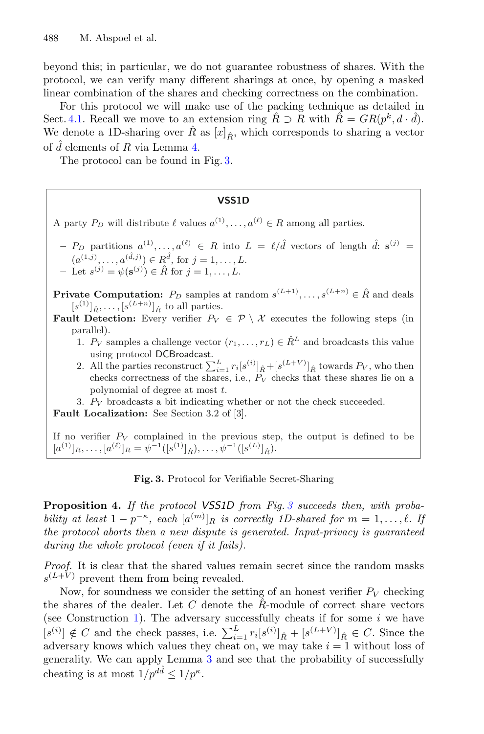beyond this; in particular, we do not guarantee robustness of shares. With the protocol, we can verify many different sharings at once, by opening a masked linear combination of the shares and checking correctness on the combination.

For this protocol we will make use of the packing technique as detailed in Sect. [4.1.](#page-13-0) Recall we move to an extension ring  $\hat{R} \supset R$  with  $\hat{R} = GR(p^k, d \cdot \hat{d})$ . We denote a 1D-sharing over  $\hat{R}$  as  $[x]_{\hat{R}}$ , which corresponds to sharing a vector of  $\hat{d}$  elements of R via Lemma [4.](#page-13-1)

The protocol can be found in Fig. [3.](#page-17-0)

#### **VSS1D**

A party  $P_D$  will distribute  $\ell$  values  $a^{(1)}, \ldots, a^{(\ell)} \in R$  among all parties.

 $-P_D$  partitions  $a^{(1)},...,a^{(\ell)} \in R$  into  $L = \ell/\hat{d}$  vectors of length  $\hat{d}: s^{(j)} =$  $(a^{(1,j)}, \ldots, a^{(\hat{d},j)}) \in R^{\hat{d}}, \text{ for } j = 1, \ldots, L.$ **−** Let  $s^{(j)} = \psi(\mathbf{s}^{(j)}) \in \hat{R}$  for  $j = 1, ..., L$ .

**Private Computation:**  $P_D$  samples at random  $s^{(L+1)}, \ldots, s^{(L+n)} \in \hat{R}$  and deals  $[s^{(1)}]_{\hat{R}}, \ldots, [s^{(L+n)}]_{\hat{R}}$  to all parties.

- **Fault Detection:** Every verifier  $P_V \in \mathcal{P} \setminus \mathcal{X}$  executes the following steps (in parallel).
	- 1.  $P_V$  samples a challenge vector  $(r_1,\ldots,r_L) \in \hat{R}^L$  and broadcasts this value using protocol DCBroadcast.
	- 2. All the parties reconstruct  $\sum_{i=1}^{L} r_i[s^{(i)}]_{\hat{R}} + [s^{(L+V)}]_{\hat{R}}$  towards  $P_V$ , who then checks correctness of the shares, i.e.,  $P_V$  checks that these shares lie on a polynomial of degree at most t.
	- 3.  $P_V$  broadcasts a bit indicating whether or not the check succeeded.

**Fault Localization:** See Section 3.2 of [3].

If no verifier  $P_V$  complained in the previous step, the output is defined to be  $[a^{(1)}]_R, \ldots, [a^{(\ell)}]_R = \psi^{-1}([s^{(1)}]_{\hat{R}}), \ldots, \psi^{-1}([s^{(L)}]_{\hat{R}}).$ 

<span id="page-17-0"></span>**Fig. 3.** Protocol for Verifiable Secret-Sharing

<span id="page-17-1"></span>**Proposition 4.** *If the protocol VSS1D from Fig. [3](#page-17-0) succeeds then, with probability at least*  $1 - p^{-\kappa}$ , each  $[a^{(m)}]_R$  *is correctly 1D-shared for*  $m = 1, \ldots, \ell$ . If *the protocol aborts then a new dispute is generated. Input-privacy is guaranteed during the whole protocol (even if it fails).*

*Proof.* It is clear that the shared values remain secret since the random masks  $s^{(L+V)}$  prevent them from being revealed.

Now, for soundness we consider the setting of an honest verifier  $P_V$  checking the shares of the dealer. Let  $C$  denote the  $R$ -module of correct share vectors (see Construction [1\)](#page-4-0). The adversary successfully cheats if for some  $i$  we have  $[s^{(i)}] \notin C$  and the check passes, i.e.  $\sum_{i=1}^{L} r_i [s^{(i)}]_{\hat{R}} + [s^{(L+V)}]_{\hat{R}} \in C$ . Since the adversary knows which values they cheat on, we may take  $i = 1$  without loss of generality. We can apply Lemma [3](#page-12-0) and see that the probability of successfully cheating is at most  $1/p^{dd} < 1/p^{\kappa}$ .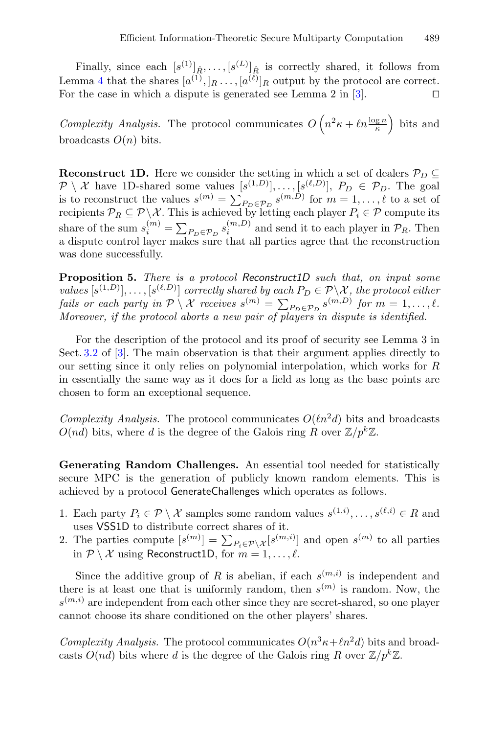Finally, since each  $[s^{(1)}]_{\hat{R}}, \ldots, [s^{(L)}]_{\hat{R}}$  is correctly shared, it follows from Lemma [4](#page-13-1) that the shares  $[a^{(1)},]_R \ldots, [a^{(\ell)}]_R$  output by the protocol are correct. For the case in which a dispute is generated see Lemma 2 in [\[3\]](#page-29-7).  $\Box$ 

*Complexity Analysis.* The protocol communicates  $O(n^2\kappa + \ln \frac{\log n}{\kappa})$  bits and broadcasts  $O(n)$  bits.

**Reconstruct 1D.** Here we consider the setting in which a set of dealers  $\mathcal{P}_D \subseteq$  $\mathcal{P}\setminus\mathcal{X}$  have 1D-shared some values  $[s^{(1,D)}],\ldots,[s^{(\ell,D)}], P_D \in \mathcal{P}_D$ . The goal is to reconstruct the values  $s^{(m)} = \sum_{P_D \in \mathcal{P}_D} s^{(m,\overrightarrow{D})}$  for  $m = 1, \ldots, \ell$  to a set of recipients  $\mathcal{P}_R \subseteq \mathcal{P} \setminus \mathcal{X}$ . This is achieved by letting each player  $P_i \in \mathcal{P}$  compute its share of the sum  $s_i^{(m)} = \sum_{P_D \in \mathcal{P}_D} s_i^{(m,D)}$  and send it to each player in  $\mathcal{P}_R$ . Then a dispute control layer makes sure that all parties agree that the reconstruction was done successfully.

**Proposition 5.** *There is a protocol Reconstruct1D such that, on input some values*  $[s^{(1,D)}], \ldots, [s^{(\ell,D)}]$  *correctly shared by each*  $P_D \in \mathcal{P} \backslash \mathcal{X}$ *, the protocol either fails or each party in*  $\mathcal{P}\setminus\mathcal{X}$  *receives*  $s^{(m)} = \sum_{P_D \in \mathcal{P}_D} s^{(m,D)}$  *for*  $m = 1, \ldots, \ell$ . *Moreover, if the protocol aborts a new pair of players in dispute is identified.*

For the description of the protocol and its proof of security see Lemma 3 in Sect. [3.2](#page-7-0) of [\[3\]](#page-29-7). The main observation is that their argument applies directly to our setting since it only relies on polynomial interpolation, which works for R in essentially the same way as it does for a field as long as the base points are chosen to form an exceptional sequence.

*Complexity Analysis.* The protocol communicates  $O(\ell n^2 d)$  bits and broadcasts  $O(nd)$  bits, where d is the degree of the Galois ring R over  $\mathbb{Z}/p^k\mathbb{Z}$ .

**Generating Random Challenges.** An essential tool needed for statistically secure MPC is the generation of publicly known random elements. This is achieved by a protocol GenerateChallenges which operates as follows.

- 1. Each party  $P_i \in \mathcal{P} \setminus \mathcal{X}$  samples some random values  $s^{(1,i)}, \ldots, s^{(\ell,i)} \in R$  and uses VSS1D to distribute correct shares of it.
- 2. The parties compute  $[s^{(m)}] = \sum_{P_i \in \mathcal{P} \setminus \mathcal{X}} [s^{(m,i)}]$  and open  $s^{(m)}$  to all parties in  $P \setminus \mathcal{X}$  using Reconstruct1D, for  $m = 1, \ldots, \ell$ .

Since the additive group of R is abelian, if each  $s^{(m,i)}$  is independent and there is at least one that is uniformly random, then  $s^{(m)}$  is random. Now, the  $s^{(m,i)}$  are independent from each other since they are secret-shared, so one player cannot choose its share conditioned on the other players' shares.

*Complexity Analysis.* The protocol communicates  $O(n^3 \kappa + \ln^2 d)$  bits and broadcasts  $O(nd)$  bits where d is the degree of the Galois ring R over  $\mathbb{Z}/p^k\mathbb{Z}$ .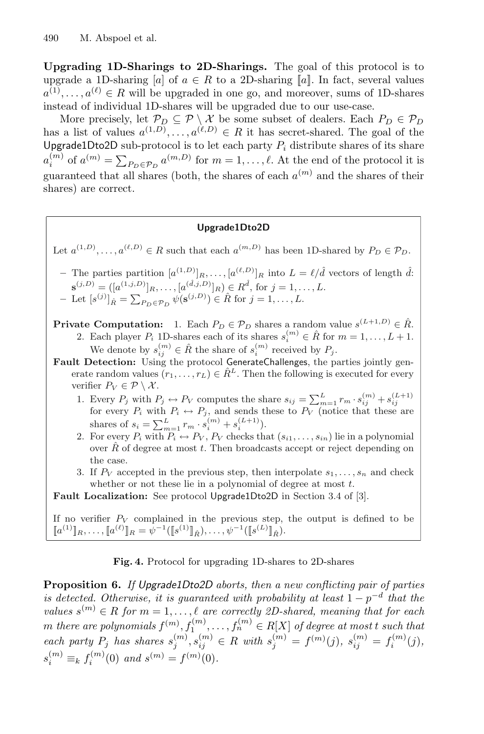**Upgrading 1D-Sharings to 2D-Sharings.** The goal of this protocol is to upgrade a 1D-sharing [a] of  $a \in R$  to a 2D-sharing [a]. In fact, several values  $a^{(1)}, \ldots, a^{(\ell)} \in R$  will be upgraded in one go, and moreover, sums of 1D-shares instead of individual 1D-shares will be upgraded due to our use-case.

More precisely, let  $\mathcal{P}_D \subseteq \mathcal{P} \setminus \mathcal{X}$  be some subset of dealers. Each  $P_D \in \mathcal{P}_D$ has a list of values  $a^{(1,D)}, \ldots, a^{(\ell,D)} \in R$  it has secret-shared. The goal of the Upgrade1Dto2D sub-protocol is to let each party  $P_i$  distribute shares of its share  $a_i^{(m)}$  of  $a^{(m)} = \sum_{P_D \in \mathcal{P}_D} a^{(m,D)}$  for  $m = 1, \ldots, \ell$ . At the end of the protocol it is guaranteed that all shares (both, the shares of each  $a^{(m)}$  and the shares of their shares) are correct.

#### **Upgrade1Dto2D**

Let  $a^{(1,D)}, \ldots, a^{(\ell,D)} \in R$  such that each  $a^{(m,D)}$  has been 1D-shared by  $P_D \in \mathcal{P}_D$ .

- $-$  The parties partition  $[a^{(1,D)}]_R, \ldots, [a^{(\ell,D)}]_R$  into  $L = \ell/\hat{d}$  vectors of length  $\hat{d}$ :  $\mathbf{s}^{(j,D)} = ([a^{(1,j,D)}]_R, \ldots, [a^{(\hat{d},j,D)}]_R) \in R^{\hat{d}}, \text{ for } j = 1, \ldots, L.$ *−* Let  $[s^{(j)}]_R$  =  $\sum_{P_D \in \mathcal{P}_D} \psi(\mathbf{s}^{(j,D)}) \in \hat{R}$  for  $j = 1, ..., L$ .
- **Private Computation:** 1. Each  $P_D \in \mathcal{P}_D$  shares a random value  $s^{(L+1,D)} \in \hat{R}$ .<br>2. Each player  $P_i$  1D-shares each of its shares  $s_i^{(m)} \in \hat{R}$  for  $m = 1, ..., L + 1$ . We denote by  $s_{ij}^{(m)} \in \hat{R}$  the share of  $s_i^{(m)}$  received by  $P_j$ .
- **Fault Detection:** Using the protocol GenerateChallenges, the parties jointly generate random values  $(r_1,\ldots,r_L) \in \hat{R}^L$ . Then the following is executed for every verifier  $P_V \in \mathcal{P} \setminus \mathcal{X}$ .
	- 1. Every  $P_j$  with  $P_j \leftrightarrow P_V$  computes the share  $s_{ij} = \sum_{m=1}^{L} r_m \cdot s_{ij}^{(m)} + s_{ij}^{(L+1)}$ for every  $P_i$  with  $P_i \leftrightarrow P_j$ , and sends these to  $P_V$  (notice that these are shares of  $s_i = \sum_{m=1}^{L} r_m \cdot s_i^{(m)} + s_i^{(L+1)}$ .
	- 2. For every  $P_i$  with  $P_i \leftrightarrow P_V$ ,  $P_V$  checks that  $(s_{i1},\ldots,s_{in})$  lie in a polynomial over  $\hat{R}$  of degree at most t. Then broadcasts accept or reject depending on the case.
	- 3. If  $P_V$  accepted in the previous step, then interpolate  $s_1, \ldots, s_n$  and check whether or not these lie in a polynomial of degree at most  $t$ .

**Fault Localization:** See protocol Upgrade1Dto2D in Section 3.4 of [3].

If no verifier  $P_V$  complained in the previous step, the output is defined to be  $[[a^{(1)}]_R, \ldots, [[a^{(\ell)}]_R = \hat{\psi}^{-1}([\![s^{(1)}]\!]_{\hat{R}}), \ldots, \psi^{-1}([\![s^{(L)}]\!]_{\hat{R}}).$ 

**Fig. 4.** Protocol for upgrading 1D-shares to 2D-shares

**Proposition 6.** *If Upgrade1Dto2D aborts, then a new conflicting pair of parties is detected. Otherwise, it is guaranteed with probability at least*  $1 - p^{-d}$  *that the values*  $s^{(m)} \in R$  *for*  $m = 1, \ldots, \ell$  *are correctly 2D-shared, meaning that for each*  $m$  there are polynomials  $f^{(m)}$ ,  $f_1^{(m)}$ , ...,  $f_n^{(m)} \in R[X]$  of degree at most t such that  $\text{each party } P_j \text{ has shares } s_j^{(m)}, s_{ij}^{(m)} \in R \text{ with } s_j^{(m)} = f^{(m)}(j), \text{ } s_{ij}^{(m)} = f_i^{(m)}(j),$  $s_i^{(m)} \equiv_k f_i^{(m)}(0)$  and  $s^{(m)} = f^{(m)}(0)$ .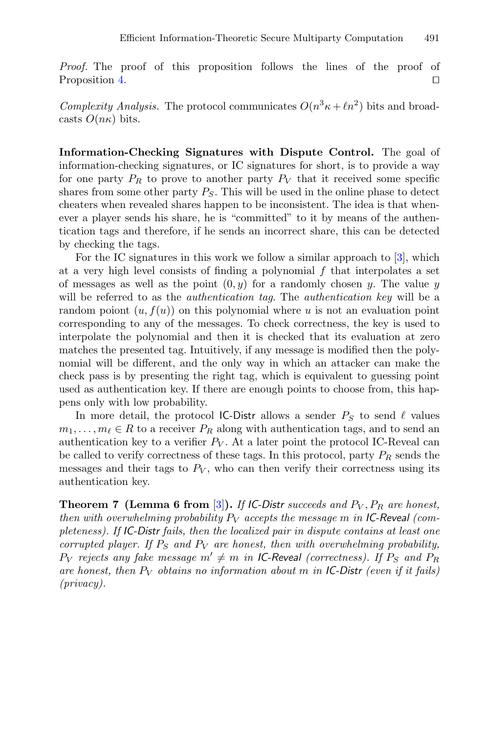*Proof.* The proof of this proposition follows the lines of the proof of Proposition [4.](#page-17-1)  $\Box$ 

*Complexity Analysis.* The protocol communicates  $O(n^3 \kappa + \ell n^2)$  bits and broadcasts  $O(n\kappa)$  bits.

<span id="page-20-0"></span>**Information-Checking Signatures with Dispute Control.** The goal of information-checking signatures, or IC signatures for short, is to provide a way for one party  $P_R$  to prove to another party  $P_V$  that it received some specific shares from some other party  $P<sub>S</sub>$ . This will be used in the online phase to detect cheaters when revealed shares happen to be inconsistent. The idea is that whenever a player sends his share, he is "committed" to it by means of the authentication tags and therefore, if he sends an incorrect share, this can be detected by checking the tags.

For the IC signatures in this work we follow a similar approach to [\[3\]](#page-29-7), which at a very high level consists of finding a polynomial  $f$  that interpolates a set of messages as well as the point  $(0, y)$  for a randomly chosen y. The value y will be referred to as the *authentication tag*. The *authentication key* will be a random poiont  $(u, f(u))$  on this polynomial where u is not an evaluation point corresponding to any of the messages. To check correctness, the key is used to interpolate the polynomial and then it is checked that its evaluation at zero matches the presented tag. Intuitively, if any message is modified then the polynomial will be different, and the only way in which an attacker can make the check pass is by presenting the right tag, which is equivalent to guessing point used as authentication key. If there are enough points to choose from, this happens only with low probability.

In more detail, the protocol IC-Distr allows a sender  $P<sub>S</sub>$  to send  $\ell$  values  $m_1, \ldots, m_\ell \in R$  to a receiver  $P_R$  along with authentication tags, and to send an authentication key to a verifier  $P_V$ . At a later point the protocol IC-Reveal can be called to verify correctness of these tags. In this protocol, party  $P_R$  sends the messages and their tags to  $P_V$ , who can then verify their correctness using its authentication key.

**Theorem 7 (Lemma 6 from [\[3](#page-29-7)]).** If IC-Distr succeeds and  $P_V$ ,  $P_R$  are honest, *then with overwhelming probability*  $P_V$  *accepts the message* m *in* IC-Reveal (com*pleteness). If IC-Distr fails, then the localized pair in dispute contains at least one corrupted player. If*  $P_S$  *and*  $P_V$  *are honest, then with overwhelming probability,*  $P_V$  *rejects any fake message*  $m' \neq m$  *in IC-Reveal (correctness). If*  $P_S$  *and*  $P_R$ are honest, then  $P_V$  obtains no information about m in IC-Distr (even if it fails) *(privacy).*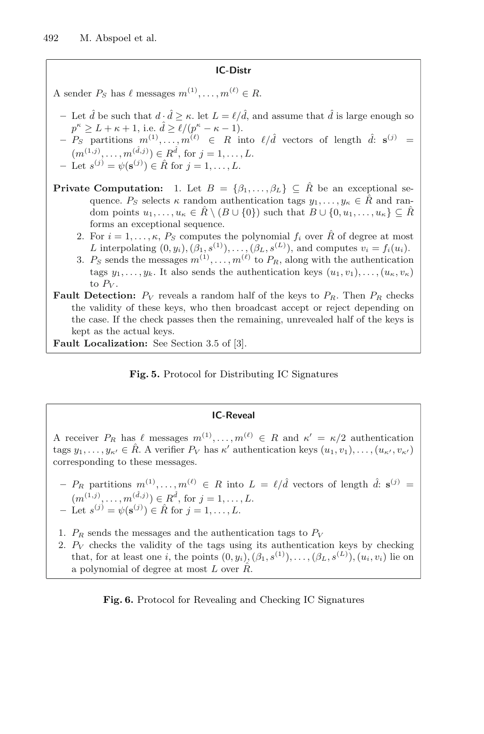#### **IC-Distr**

A sender  $P_S$  has  $\ell$  messages  $m^{(1)}, \ldots, m^{(\ell)} \in R$ .

- $-$  Let  $\hat{d}$  be such that  $d \cdot \hat{d} > \kappa$ . let  $L = \ell / \hat{d}$ , and assume that  $\hat{d}$  is large enough so  $p^{\kappa} \geq L + \kappa + 1$ , i.e.  $\hat{d} \geq \ell/(p^{\kappa} - \kappa - 1)$ .
- $P_S$  partitions  $m^{(1)}, \ldots, m^{(\ell)} \in R$  into  $\ell/\hat{d}$  vectors of length  $\hat{d}$ :  $\mathbf{s}^{(j)}$  =  $(m^{(1,j)},...,m^{(\tilde{d},j)}) \in R^{\tilde{d}}, \text{ for } j = 1,...,L.$
- $-$  Let *s*<sup>(*j*)</sup> =  $ψ$ (**s**<sup>(*j*)</sup>) ∈  $R̂$  for *j* = 1, . . . , *L*.
- **Private Computation:** 1. Let  $B = \{\beta_1, \ldots, \beta_L\} \subseteq \hat{R}$  be an exceptional sequence.  $P_S$  selects  $\kappa$  random authentication tags  $y_1, \ldots, y_\kappa \in \hat{R}$  and random points  $u_1,\ldots,u_\kappa\in R\setminus (B\cup\{0\})$  such that  $B\cup\{0,u_1,\ldots,u_\kappa\}\subseteq R$ forms an exceptional sequence.
	- 2. For  $i = 1, \ldots, \kappa$ ,  $P_S$  computes the polynomial  $f_i$  over  $\hat{R}$  of degree at most L interpolating  $(0, y_i), (\beta_1, s^{(1)}), \ldots, (\beta_L, s^{(L)})$ , and computes  $v_i = f_i(u_i)$ .
	- 3.  $P_S$  sends the messages  $m^{(1)}, \ldots, m^{(\ell)}$  to  $P_R$ , along with the authentication tags  $y_1, \ldots, y_k$ . It also sends the authentication keys  $(u_1, v_1), \ldots, (u_k, v_k)$ to  $P_V$ .
- **Fault Detection:**  $P_V$  reveals a random half of the keys to  $P_R$ . Then  $P_R$  checks the validity of these keys, who then broadcast accept or reject depending on the case. If the check passes then the remaining, unrevealed half of the keys is kept as the actual keys.

**Fault Localization:** See Section 3.5 of [3].

**Fig. 5.** Protocol for Distributing IC Signatures

#### **IC-Reveal**

A receiver  $P_R$  has  $\ell$  messages  $m^{(1)}, \ldots, m^{(\ell)} \in R$  and  $\kappa' = \kappa/2$  authentication tags  $y_1, \ldots, y_{\kappa'} \in \hat{R}$ . A verifier  $P_V$  has  $\kappa'$  authentication keys  $(u_1, v_1), \ldots, (u_{\kappa'}, v_{\kappa'})$ corresponding to these messages.

- $-$  P<sub>R</sub> partitions  $m^{(1)}, \ldots, m^{(\ell)} \in R$  into  $L = \ell/\hat{d}$  vectors of length  $\hat{d}$ :  $\mathbf{s}^{(j)} =$  $(m^{(1,j)},...,m^{(\hat{d},j)}) \in R^{\hat{d}}, \text{ for } j = 1,...,L.$ **−** Let  $s^{(j)} = \psi(\mathbf{s}^{(j)}) \in \hat{R}$  for  $j = 1, ..., L$ .
- 1.  $P_R$  sends the messages and the authentication tags to  $P_V$
- 2.  $P_V$  checks the validity of the tags using its authentication keys by checking that, for at least one i, the points  $(0, y_i)$ ,  $(\beta_1, s^{(1)})$ ,...,  $(\beta_L, s^{(L)})$ ,  $(u_i, v_i)$  lie on a polynomial of degree at most  $L$  over  $\ddot{R}$ .

**Fig. 6.** Protocol for Revealing and Checking IC Signatures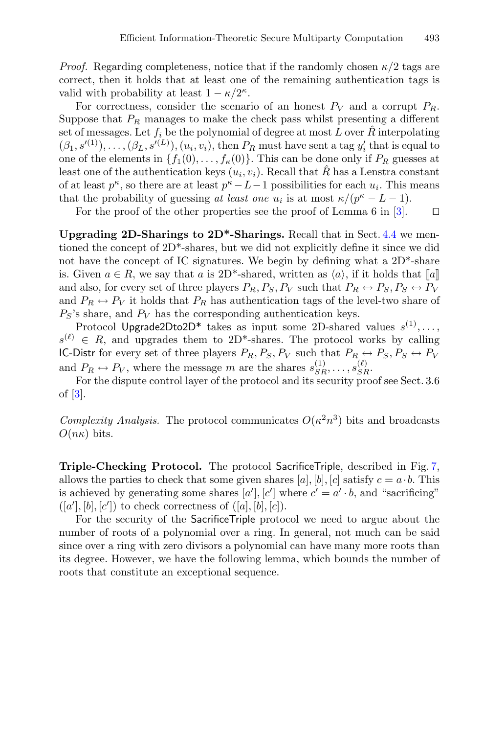*Proof.* Regarding completeness, notice that if the randomly chosen  $\kappa/2$  tags are correct, then it holds that at least one of the remaining authentication tags is valid with probability at least  $1 - \kappa/2^{\kappa}$ .

For correctness, consider the scenario of an honest  $P_V$  and a corrupt  $P_R$ . Suppose that  $P_R$  manages to make the check pass whilst presenting a different set of messages. Let  $f_i$  be the polynomial of degree at most L over  $\hat{R}$  interpolating  $(\beta_1, s'^{(1)}), \ldots, (\beta_L, s'^{(L)}), (u_i, v_i)$ , then  $P_R$  must have sent a tag  $y'_i$  that is equal to one of the elements in  $\{f_1(0),...,f_\kappa(0)\}\)$ . This can be done only if  $P_R$  guesses at least one of the authentication keys  $(u_i, v_i)$ . Recall that R has a Lenstra constant of at least  $p^{\kappa}$ , so there are at least  $p^{\kappa} - L - 1$  possibilities for each  $u_i$ . This means that the probability of guessing *at least one*  $u_i$  is at most  $\kappa/(p^{\kappa}-L-1)$ .

For the proof of the other properties see the proof of Lemma 6 in [\[3\]](#page-29-7).  $\Box$ 

**Upgrading 2D-Sharings to 2D\*-Sharings.** Recall that in Sect. [4.4](#page-15-0) we mentioned the concept of 2D\*-shares, but we did not explicitly define it since we did not have the concept of IC signatures. We begin by defining what a  $2D^*$ -share is. Given  $a \in R$ , we say that a is 2D<sup>\*</sup>-shared, written as  $\langle a \rangle$ , if it holds that  $\llbracket a \rrbracket$ and also, for every set of three players  $P_R$ ,  $P_S$ ,  $P_V$  such that  $P_R \leftrightarrow P_S$ ,  $P_S \leftrightarrow P_V$ and  $P_R \leftrightarrow P_V$  it holds that  $P_R$  has authentication tags of the level-two share of  $P<sub>S</sub>$ 's share, and  $P<sub>V</sub>$  has the corresponding authentication keys.

Protocol Upgrade2Dto2D<sup>\*</sup> takes as input some 2D-shared values  $s^{(1)},\ldots$ ,  $s^{(\ell)} \in R$ , and upgrades them to 2D<sup>\*</sup>-shares. The protocol works by calling IC-Distr for every set of three players  $P_R, P_S, P_V$  such that  $P_R \leftrightarrow P_S, P_S \leftrightarrow P_V$ and  $P_R \leftrightarrow P_V$ , where the message m are the shares  $s_{SR}^{(1)}, \ldots, s_{SR}^{(\ell)}$ .

For the dispute control layer of the protocol and its security proof see Sect. 3.6 of  $\mathcal{B}$ .

*Complexity Analysis.* The protocol communicates  $O(\kappa^2 n^3)$  bits and broadcasts  $O(n\kappa)$  bits.

**Triple-Checking Protocol.** The protocol SacrificeTriple, described in Fig. [7,](#page-23-0) allows the parties to check that some given shares [a], [b], [c] satisfy  $c = a \cdot b$ . This is achieved by generating some shares  $[a'], [c']$  where  $c' = a' \cdot b$ , and "sacrificing"  $([a'], [b], [c'])$  to check correctness of  $([a], [b], [c])$ .

For the security of the SacrificeTriple protocol we need to argue about the number of roots of a polynomial over a ring. In general, not much can be said since over a ring with zero divisors a polynomial can have many more roots than its degree. However, we have the following lemma, which bounds the number of roots that constitute an exceptional sequence.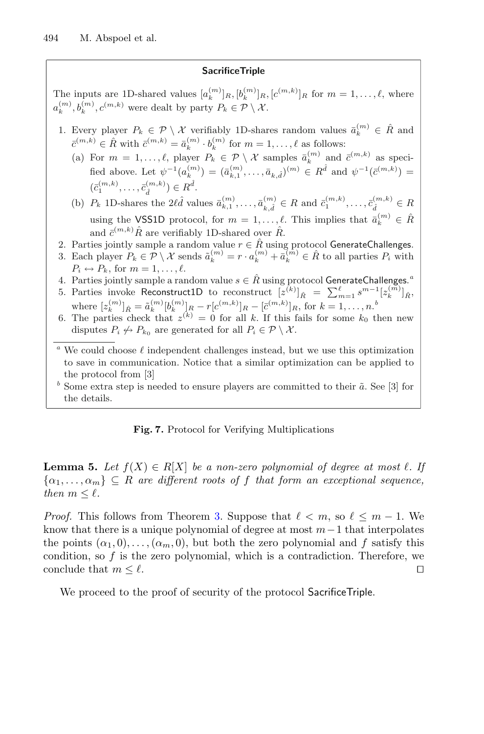#### **SacrificeTriple**

The inputs are 1D-shared values  $[a_k^{(m)}]_R$ ,  $[b_k^{(m)}]_R$ ,  $[c^{(m,k)}]_R$  for  $m = 1, \ldots, \ell$ , where  $a_k^{(m)}, b_k^{(m)}, c^{(m,k)}$  were dealt by party  $P_k \in \mathcal{P} \setminus \mathcal{X}$ .

- 1. Every player  $P_k \in \mathcal{P} \setminus \mathcal{X}$  verifiably 1D-shares random values  $\bar{a}_k^{(m)} \in \hat{R}$  and  $\bar{c}^{(m,k)} \in \hat{R}$  with  $\bar{c}^{(m,k)} = \bar{a}_k^{(m)} \cdot b_k^{(m)}$  for  $m = 1, \ldots, \ell$  as follows:
	- (a) For  $m = 1, \ldots, \ell$ , player  $P_k \in \mathcal{P} \setminus \mathcal{X}$  samples  $\bar{a}_k^{(m)}$  and  $\bar{c}^{(m,k)}$  as specified above. Let  $\psi^{-1}(a_k^{(m)}) = (\bar{a}_{k,1}^{(m)}, \ldots, \bar{a}_{k,\hat{d}})^{(m)} \in R^{\hat{d}}$  and  $\psi^{-1}(\bar{c}^{(m,k)}) =$  $(\bar{c}_1^{(m,k)}, \ldots, \bar{c}_{\hat{d}}^{(m,k)}) \in R^{\hat{d}}.$

(b)  $P_k$  1D-shares the  $2\ell \hat{d}$  values  $\bar{a}_{k,1}^{(m)}, \ldots, \bar{a}_{k,\hat{d}}^{(m)} \in R$  and  $\bar{c}_1^{(m,k)}, \ldots, \bar{c}_{\hat{d}}^{(m,k)} \in R$ using the VSS1D protocol, for  $m = 1, \ldots, \ell$ . This implies that  $\bar{a}_k^{(m)} \in \hat{R}$ and  $\bar{c}^{(m,k)}\hat{R}$  are verifiably 1D-shared over  $\hat{R}$ .

- 2. Parties jointly sample a random value  $r \in \hat{R}$  using protocol GenerateChallenges.
- 3. Each player  $P_k \in \mathcal{P} \setminus \mathcal{X}$  sends  $\tilde{a}_k^{(m)} = r \cdot a_k^{(m)} + \tilde{a}_k^{(m)} \in \hat{R}$  to all parties  $P_i$  with  $P_i \leftrightarrow P_k$ , for  $m = 1, \ldots, \ell$ .
- 4. Parties jointly sample a random value  $s \in \hat{R}$  using protocol GenerateChallenges.<sup>2</sup>
- 5. Parties invoke Reconstruct1D to reconstruct  $[z^{(k)}]_{\hat{R}} = \sum_{m=1}^{\ell} s^{m-1} [z_k^{(m)}]_{\hat{R}}$ where  $[z_k^{(m)}]_{\hat{R}} = \tilde{a}_k^{(m)} [b_k^{(m)}]_R - r[c^{(m,k)}]_R - [\bar{c}^{(m,k)}]_R$ , for  $k = 1, ..., n$ .<sup>*b*</sup>
- 6. The parties check that  $z^{(k)} = 0$  for all k. If this fails for some  $k_0$  then new disputes  $P_i \nleftrightarrow P_{k_0}$  are generated for all  $P_i \in \mathcal{P} \setminus \mathcal{X}$ .

<sup>a</sup> We could choose  $\ell$  independent challenges instead, but we use this optimization to save in communication. Notice that a similar optimization can be applied to the protocol from [3]

 $<sup>b</sup>$  Some extra step is needed to ensure players are committed to their  $\tilde{a}$ . See [3] for</sup> the details.

#### <span id="page-23-0"></span>**Fig. 7.** Protocol for Verifying Multiplications

<span id="page-23-1"></span>**Lemma 5.** Let  $f(X) \in R[X]$  be a non-zero polynomial of degree at most  $\ell$ . If  $\{\alpha_1,\ldots,\alpha_m\}\subseteq R$  are different roots of f that form an exceptional sequence, *then*  $m < \ell$ *.* 

*Proof.* This follows from Theorem [3.](#page-4-1) Suppose that  $\ell < m$ , so  $\ell \leq m-1$ . We know that there is a unique polynomial of degree at most  $m-1$  that interpolates the points  $(\alpha_1, 0), \ldots, (\alpha_m, 0)$ , but both the zero polynomial and f satisfy this condition, so  $f$  is the zero polynomial, which is a contradiction. Therefore, we conclude that  $m \leq \ell$ .  $\Box$ 

We proceed to the proof of security of the protocol SacrificeTriple.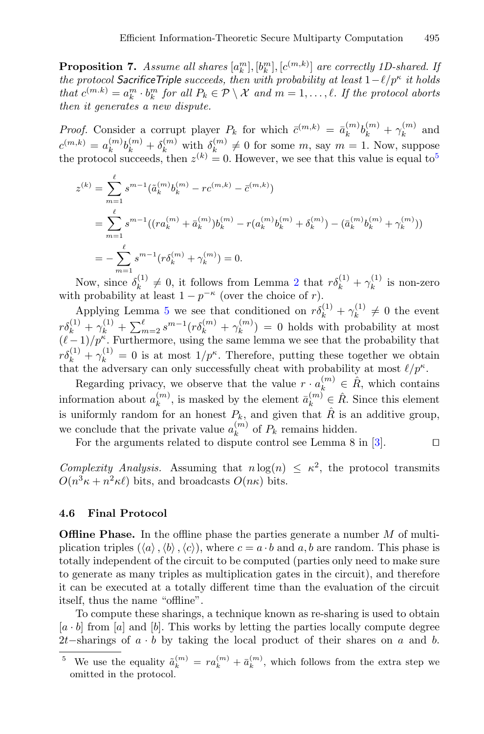**Proposition 7.** *Assume all shares*  $[a_k^m], [b_k^m], [c^{(m,k)}]$  *are correctly 1D-shared. If the protocol SacrificeTriple succeeds, then with probability at least*  $1 - \ell/p^{\kappa}$  *it holds that*  $c^{(m,k)} = a_k^m \cdot b_k^m$  *for all*  $P_k \in \mathcal{P} \setminus \mathcal{X}$  *and*  $m = 1, \ldots, \ell$ *. If the protocol aborts then it generates a new dispute.*

*Proof.* Consider a corrupt player  $P_k$  for which  $\bar{c}^{(m,k)} = \bar{a}_k^{(m)}b_k^{(m)} + \gamma_k^{(m)}$  and  $c^{(m,k)} = a_k^{(m)} b_k^{(m)} + \delta_k^{(m)}$  with  $\delta_k^{(m)} \neq 0$  for some m, say  $m = 1$ . Now, suppose the protocol succeeds, then  $z^{(k)} = 0$ . However, we see that this value is equal to<sup>[5](#page-24-0)</sup>

$$
z^{(k)} = \sum_{m=1}^{\ell} s^{m-1} (\tilde{a}_k^{(m)} b_k^{(m)} - r c^{(m,k)} - \bar{c}^{(m,k)})
$$
  
= 
$$
\sum_{m=1}^{\ell} s^{m-1} ((r a_k^{(m)} + \bar{a}_k^{(m)}) b_k^{(m)} - r (a_k^{(m)} b_k^{(m)} + \delta_k^{(m)}) - (\bar{a}_k^{(m)} b_k^{(m)} + \gamma_k^{(m)}) )
$$
  
= 
$$
-\sum_{m=1}^{\ell} s^{m-1} (r \delta_k^{(m)} + \gamma_k^{(m)}) = 0.
$$

Now, since  $\delta_k^{(1)} \neq 0$ , it follows from Lemma [2](#page-12-1) that  $r\delta_k^{(1)} + \gamma_k^{(1)}$  is non-zero with probability at least  $1 - p^{-\kappa}$  (over the choice of r).

Applying Lemma [5](#page-23-1) we see that conditioned on  $r\delta_k^{(1)} + \gamma_k^{(1)} \neq 0$  the event  $r\delta_k^{(1)} + \gamma_k^{(1)} + \sum_{m=2}^{\ell} s^{m-1} (r\delta_k^{(m)} + \gamma_k^{(m)}) = 0$  holds with probability at most  $(\ell-1)/p^k$ . Furthermore, using the same lemma we see that the probability that  $r\delta_k^{(1)} + \gamma_k^{(1)} = 0$  is at most  $1/p^{\kappa}$ . Therefore, putting these together we obtain that the adversary can only successfully cheat with probability at most  $\ell/p^{\kappa}$ .

Regarding privacy, we observe that the value  $r \cdot a_k^{(m)} \in \hat{R}$ , which contains information about  $a_k^{(m)}$ , is masked by the element  $\bar{a}_k^{(m)} \in \hat{R}$ . Since this element is uniformly random for an honest  $P_k$ , and given that  $\hat{R}$  is an additive group, we conclude that the private value  $a_k^{(m)}$  of  $P_k$  remains hidden.

For the arguments related to dispute control see Lemma 8 in [\[3](#page-29-7)].  $\Box$ 

*Complexity Analysis.* Assuming that  $n \log(n) \leq \kappa^2$ , the protocol transmits  $O(n^3 \kappa + n^2 \kappa \ell)$  bits, and broadcasts  $O(n \kappa)$  bits.

#### **4.6 Final Protocol**

**Offline Phase.** In the offline phase the parties generate a number M of multiplication triples  $(\langle a \rangle, \langle b \rangle, \langle c \rangle)$ , where  $c = a \cdot b$  and  $a, b$  are random. This phase is totally independent of the circuit to be computed (parties only need to make sure to generate as many triples as multiplication gates in the circuit), and therefore it can be executed at a totally different time than the evaluation of the circuit itself, thus the name "offline".

To compute these sharings, a technique known as re-sharing is used to obtain  $[a \cdot b]$  from [a] and [b]. This works by letting the parties locally compute degree 2t–sharings of  $a \cdot b$  by taking the local product of their shares on  $a$  and  $b$ .

<span id="page-24-0"></span><sup>&</sup>lt;sup>5</sup> We use the equality  $\tilde{a}_k^{(m)} = r a_k^{(m)} + \bar{a}_k^{(m)}$ , which follows from the extra step we omitted in the protocol.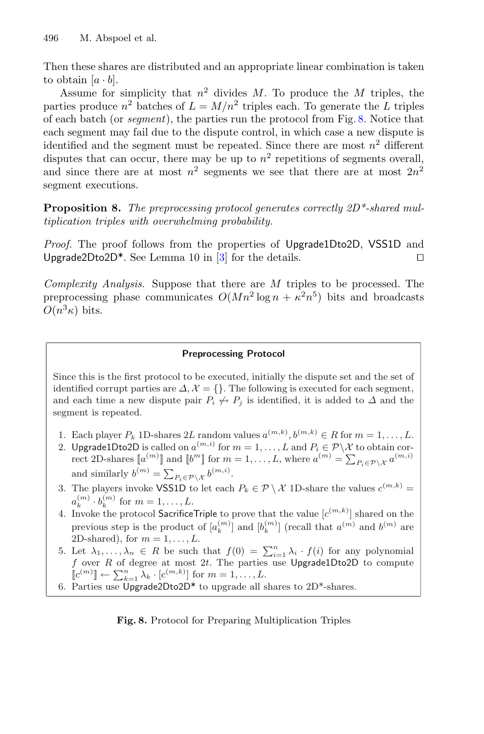Then these shares are distributed and an appropriate linear combination is taken to obtain  $[a \cdot b]$ .

Assume for simplicity that  $n^2$  divides M. To produce the M triples, the parties produce  $n^2$  batches of  $L = M/n^2$  triples each. To generate the L triples of each batch (or *segment*), the parties run the protocol from Fig. [8.](#page-25-0) Notice that each segment may fail due to the dispute control, in which case a new dispute is identified and the segment must be repeated. Since there are most  $n^2$  different disputes that can occur, there may be up to  $n^2$  repetitions of segments overall, and since there are at most  $n^2$  segments we see that there are at most  $2n^2$ segment executions.

**Proposition 8.** *The preprocessing protocol generates correctly 2D\*-shared multiplication triples with overwhelming probability.*

*Proof.* The proof follows from the properties of Upgrade1Dto2D, VSS1D and Upgrade2Dto2D\*. See Lemma 10 in [\[3](#page-29-7)] for the details.  $\Box$ 

*Complexity Analysis.* Suppose that there are M triples to be processed. The preprocessing phase communicates  $O(Mn^2 \log n + \kappa^2 n^5)$  bits and broadcasts  $O(n^3\kappa)$  bits.

#### **Preprocessing Protocol**

Since this is the first protocol to be executed, initially the dispute set and the set of identified corrupt parties are  $\Delta, \mathcal{X} = \{\}.$  The following is executed for each segment, and each time a new dispute pair  $P_i \nleftrightarrow P_j$  is identified, it is added to  $\Delta$  and the segment is repeated.

- 1. Each player  $P_k$  1D-shares 2L random values  $a^{(m,k)}$ ,  $b^{(m,k)} \in R$  for  $m = 1, \ldots, L$ .
- 2. Upgrade1Dto2D is called on  $a^{(m,i)}$  for  $m = 1, \ldots, L$  and  $P_i \in \mathcal{P} \backslash \mathcal{X}$  to obtain correct 2D-shares  $[a^{(m)}]$  and  $[b^m]$  for  $m = 1, ..., L$ , where  $a^{(m)} = \sum_{P_i \in \mathcal{P} \setminus \mathcal{X}} a^{(m,i)}$ and similarly  $b^{(m)} = \sum_{P_i \in \mathcal{P} \setminus \mathcal{X}} b^{(m,i)}$ .
- 3. The players invoke VSS1D to let each  $P_k \in \mathcal{P} \setminus \mathcal{X}$  1D-share the values  $c^{(m,k)}$  =  $a_k^{(m)} \cdot b_k^{(m)}$  for  $m = 1, \ldots, L$ .
- 4. Invoke the protocol Sacrifice Triple to prove that the value  $[c^{(m,k)}]$  shared on the previous step is the product of  $[a_k^{(m)}]$  and  $[b_k^{(m)}]$  (recall that  $a^{(m)}$  and  $b^{(m)}$  are 2D-shared), for  $m = 1, \ldots, L$ .
- 5. Let  $\lambda_1, \ldots, \lambda_n \in R$  be such that  $f(0) = \sum_{i=1}^n \lambda_i \cdot f(i)$  for any polynomial f over R of degree at most 2t. The parties use Upgrade1Dto2D to compute  $\llbracket c^{(m)} \rrbracket \leftarrow \sum_{k=1}^n \lambda_k \cdot [c^{(m,k)}]$  for  $m = 1, \ldots, L$ .
- 6. Parties use Upgrade2Dto2D\* to upgrade all shares to 2D\*-shares.

<span id="page-25-0"></span>**Fig. 8.** Protocol for Preparing Multiplication Triples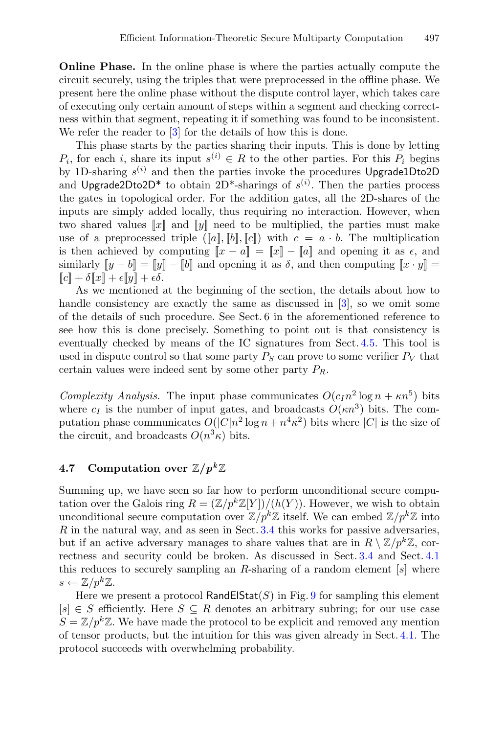**Online Phase.** In the online phase is where the parties actually compute the circuit securely, using the triples that were preprocessed in the offline phase. We present here the online phase without the dispute control layer, which takes care of executing only certain amount of steps within a segment and checking correctness within that segment, repeating it if something was found to be inconsistent. We refer the reader to  $\boxed{3}$  for the details of how this is done.

This phase starts by the parties sharing their inputs. This is done by letting  $P_i$ , for each i, share its input  $s^{(i)} \in R$  to the other parties. For this  $P_i$  begins by 1D-sharing  $s^{(i)}$  and then the parties invoke the procedures Upgrade1Dto2D and Upgrade2Dto2D<sup>\*</sup> to obtain 2D<sup>\*</sup>-sharings of  $s^{(i)}$ . Then the parties process the gates in topological order. For the addition gates, all the 2D-shares of the inputs are simply added locally, thus requiring no interaction. However, when two shared values  $\llbracket x \rrbracket$  and  $\llbracket y \rrbracket$  need to be multiplied, the parties must make use of a preprocessed triple  $(\llbracket a \rrbracket, \llbracket b \rrbracket, \llbracket c \rrbracket)$  with  $c = a \cdot b$ . The multiplication is then achieved by computing  $\llbracket x - a \rrbracket = \llbracket x \rrbracket - \llbracket a \rrbracket$  and opening it as  $\epsilon$ , and similarly  $||y - b|| = ||y|| - ||b||$  and opening it as  $\delta$ , and then computing  $||x \cdot y|| =$  $\llbracket c \rrbracket + \delta \llbracket x \rrbracket + \epsilon \llbracket y \rrbracket + \epsilon \delta.$ 

As we mentioned at the beginning of the section, the details about how to handle consistency are exactly the same as discussed in [\[3\]](#page-29-7), so we omit some of the details of such procedure. See Sect. 6 in the aforementioned reference to see how this is done precisely. Something to point out is that consistency is eventually checked by means of the IC signatures from Sect. [4.5.](#page-20-0) This tool is used in dispute control so that some party  $P_S$  can prove to some verifier  $P_V$  that certain values were indeed sent by some other party  $P_R$ .

*Complexity Analysis.* The input phase communicates  $O(c_1n^2 \log n + \kappa n^5)$  bits where  $c_I$  is the number of input gates, and broadcasts  $O(\kappa n^3)$  bits. The computation phase communicates  $O(|C|n^2 \log n + n^4 \kappa^2)$  bits where  $|C|$  is the size of the circuit, and broadcasts  $O(n^3\kappa)$  bits.

### <span id="page-26-0"></span>**4.7** Computation over  $\mathbb{Z}/p^k\mathbb{Z}$

Summing up, we have seen so far how to perform unconditional secure computation over the Galois ring  $R = (\mathbb{Z}/p^k\mathbb{Z}[Y])/ (h(Y))$ . However, we wish to obtain unconditional secure computation over  $\mathbb{Z}/p^k\mathbb{Z}$  itself. We can embed  $\mathbb{Z}/p^k\mathbb{Z}$  into  $R$  in the natural way, and as seen in Sect.  $3.4$  this works for passive adversaries, but if an active adversary manages to share values that are in  $R \setminus \mathbb{Z}/p^k\mathbb{Z}$ , correctness and security could be broken. As discussed in Sect. [3.4](#page-9-0) and Sect. [4.1](#page-11-2) this reduces to securely sampling an R-sharing of a random element  $[s]$  where  $s \leftarrow \mathbb{Z}/p^k\mathbb{Z}.$ 

Here we present a protocol RandElStat(S) in Fig. [9](#page-27-0) for sampling this element  $[s] \in S$  efficiently. Here  $S \subseteq R$  denotes an arbitrary subring; for our use case  $S = \mathbb{Z}/p^k\mathbb{Z}$ . We have made the protocol to be explicit and removed any mention of tensor products, but the intuition for this was given already in Sect. [4.1.](#page-11-2) The protocol succeeds with overwhelming probability.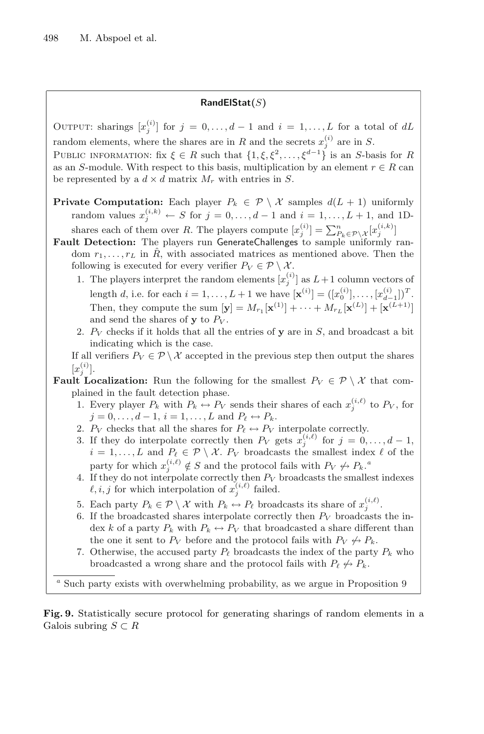### **RandElStat(**S**)**

OUTPUT: sharings  $[x_j^{(i)}]$  for  $j = 0, \ldots, d-1$  and  $i = 1, \ldots, L$  for a total of dL random elements, where the shares are in R and the secrets  $x_j^{(i)}$  are in S.

PUBLIC INFORMATION: fix  $\xi \in R$  such that  $\{1,\xi,\xi^2,\ldots,\xi^{d-1}\}$  is an S-basis for R as an S-module. With respect to this basis, multiplication by an element  $r \in R$  can be represented by a  $d \times d$  matrix  $M_r$  with entries in S.

- **Private Computation:** Each player  $P_k \in \mathcal{P} \setminus \mathcal{X}$  samples  $d(L + 1)$  uniformly random values  $x_j^{(i,k)} \leftarrow S$  for  $j = 0, \ldots, d-1$  and  $i = 1, \ldots, L+1$ , and 1Dshares each of them over R. The players compute  $[x_j^{(i)}] = \sum_{P_k \in \mathcal{P} \setminus \mathcal{X}}^n [x_j^{(i,k)}]$
- **Fault Detection:** The players run GenerateChallenges to sample uniformly random  $r_1, \ldots, r_L$  in  $\hat{R}$ , with associated matrices as mentioned above. Then the following is executed for every verifier  $P_V \in \mathcal{P} \setminus \mathcal{X}$ .
	- 1. The players interpret the random elements  $[x_j^{(i)}]$  as  $L+1$  column vectors of length d, i.e. for each  $i = 1, ..., L + 1$  we have  $[\mathbf{x}^{(i)}] = ([x_0^{(i)}], ..., [x_{d-1}^{(i)}])^T$ . Then, they compute the sum  $[\mathbf{y}] = M_{r_1}[\mathbf{x}^{(1)}] + \cdots + M_{r_L}[\mathbf{x}^{(L)}] + [\mathbf{x}^{(L+1)}]$ and send the shares of **y** to  $P_V$ .
	- 2.  $P_V$  checks if it holds that all the entries of  $y$  are in  $S$ , and broadcast a bit indicating which is the case.

If all verifiers  $P_V \in \mathcal{P} \setminus \mathcal{X}$  accepted in the previous step then output the shares  $[x_j^{(i)}]$ .

**Fault Localization:** Run the following for the smallest  $P_V \in \mathcal{P} \setminus \mathcal{X}$  that complained in the fault detection phase.

- 1. Every player  $P_k$  with  $P_k \leftrightarrow P_V$  sends their shares of each  $x_j^{(i,\ell)}$  to  $P_V$ , for  $j = 0, \ldots, d - 1, i = 1, \ldots, L$  and  $P_{\ell} \leftrightarrow P_{k}$ .
- 2.  $P_V$  checks that all the shares for  $P_\ell \leftrightarrow P_V$  interpolate correctly.
- 3. If they do interpolate correctly then  $P_V$  gets  $x_j^{(i,\ell)}$  for  $j = 0, \ldots, d-1$ ,  $i = 1, \ldots, L$  and  $P_{\ell} \in \mathcal{P} \setminus \mathcal{X}$ .  $P_V$  broadcasts the smallest index  $\ell$  of the party for which  $x_j^{(i,\ell)} \notin S$  and the protocol fails with  $P_V \nleftrightarrow P_k$ .
- 4. If they do not interpolate correctly then  $P_V$  broadcasts the smallest indexes  $\ell, i, j$  for which interpolation of  $x_i^{(i,\ell)}$  failed.
- 5. Each party  $P_k \in \mathcal{P} \setminus \mathcal{X}$  with  $P_k \leftrightarrow P_\ell$  broadcasts its share of  $x_j^{(i,\ell)}$ .
- 6. If the broadcasted shares interpolate correctly then  $P_V$  broadcasts the index k of a party  $P_k$  with  $P_k \leftrightarrow P_V$  that broadcasted a share different than the one it sent to  $P_V$  before and the protocol fails with  $P_V \nleftrightarrow P_k$ .
- 7. Otherwise, the accused party  $P_{\ell}$  broadcasts the index of the party  $P_k$  who broadcasted a wrong share and the protocol fails with  $P_\ell \not\hookrightarrow P_k.$

*<sup>a</sup>* Such party exists with overwhelming probability, as we argue in Proposition 9

<span id="page-27-0"></span>**Fig. 9.** Statistically secure protocol for generating sharings of random elements in a Galois subring  $S \subset R$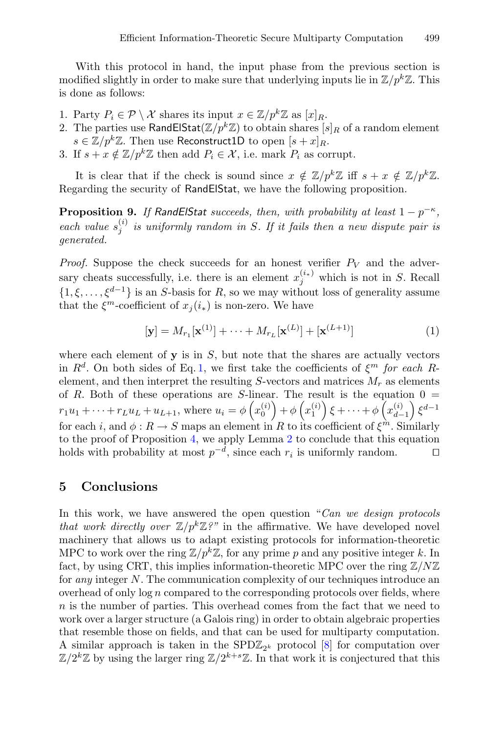With this protocol in hand, the input phase from the previous section is modified slightly in order to make sure that underlying inputs lie in  $\mathbb{Z}/p^k\mathbb{Z}$ . This is done as follows:

- 1. Party  $P_i \in \mathcal{P} \setminus \mathcal{X}$  shares its input  $x \in \mathbb{Z}/p^k\mathbb{Z}$  as  $[x]_R$ .
- 2. The parties use RandElStat $(\mathbb{Z}/p^k\mathbb{Z})$  to obtain shares  $[s]_R$  of a random element  $s \in \mathbb{Z}/p^k\mathbb{Z}$ . Then use Reconstruct1D to open  $[s + x]_R$ .
- 3. If  $s + x \notin \mathbb{Z}/p^k\mathbb{Z}$  then add  $P_i \in \mathcal{X}$ , i.e. mark  $P_i$  as corrupt.

It is clear that if the check is sound since  $x \notin \mathbb{Z}/p^k\mathbb{Z}$  iff  $s + x \notin \mathbb{Z}/p^k\mathbb{Z}$ . Regarding the security of RandElStat, we have the following proposition.

**Proposition 9.** *If RandElStat succeeds, then, with probability at least*  $1 - p^{-\kappa}$ *,*  $\vec{f}$  *each value*  $s_i^{(i)}$  *is uniformly random in* S. If *it fails then a new dispute pair is generated.*

*Proof.* Suppose the check succeeds for an honest verifier  $P_V$  and the adversary cheats successfully, i.e. there is an element  $x_i^{(i_*)}$  which is not in S. Recall  $\{1,\xi,\ldots,\xi^{d-1}\}\$ is an S-basis for R, so we may without loss of generality assume that the  $\xi^m$ -coefficient of  $x_i(i_*)$  is non-zero. We have

<span id="page-28-1"></span>
$$
[\mathbf{y}] = M_{r_1}[\mathbf{x}^{(1)}] + \dots + M_{r_L}[\mathbf{x}^{(L)}] + [\mathbf{x}^{(L+1)}]
$$
 (1)

where each element of  $\bf{v}$  is in  $S$ , but note that the shares are actually vectors in  $R^d$ . On both sides of Eq. [1,](#page-28-1) we first take the coefficients of  $\xi^m$  for each Relement, and then interpret the resulting  $S$ -vectors and matrices  $M_r$  as elements of R. Both of these operations are S-linear. The result is the equation  $0 =$  $r_1u_1 + \cdots + r_Lu_L + u_{L+1}$ , where  $u_i = \phi\left(x_0^{(i)}\right) + \phi\left(x_1^{(i)}\right)\xi + \cdots + \phi\left(x_{d-1}^{(i)}\right)\xi^{d-1}$ for each i, and  $\phi: R \to S$  maps an element in R to its coefficient of  $\xi^{\hat{m}}$ . Similarly to the proof of Proposition [4,](#page-17-1) we apply Lemma [2](#page-12-1) to conclude that this equation holds with probability at most  $p^{-d}$ , since each  $r_i$  is uniformly random.  $\Box$ 

## <span id="page-28-0"></span>**5 Conclusions**

In this work, we have answered the open question "*Can we design protocols that work directly over*  $\mathbb{Z}/p^k\mathbb{Z}$ ?" in the affirmative. We have developed novel machinery that allows us to adapt existing protocols for information-theoretic MPC to work over the ring  $\mathbb{Z}/p^k\mathbb{Z}$ , for any prime p and any positive integer k. In fact, by using CRT, this implies information-theoretic MPC over the ring  $\mathbb{Z}/N\mathbb{Z}$ for *any* integer N. The communication complexity of our techniques introduce an overhead of only  $\log n$  compared to the corresponding protocols over fields, where  $n$  is the number of parties. This overhead comes from the fact that we need to work over a larger structure (a Galois ring) in order to obtain algebraic properties that resemble those on fields, and that can be used for multiparty computation. A similar approach is taken in the  $SPD\mathbb{Z}_{2^k}$  protocol [\[8](#page-29-2)] for computation over  $\mathbb{Z}/2^k\mathbb{Z}$  by using the larger ring  $\mathbb{Z}/2^{k+s}\mathbb{Z}$ . In that work it is conjectured that this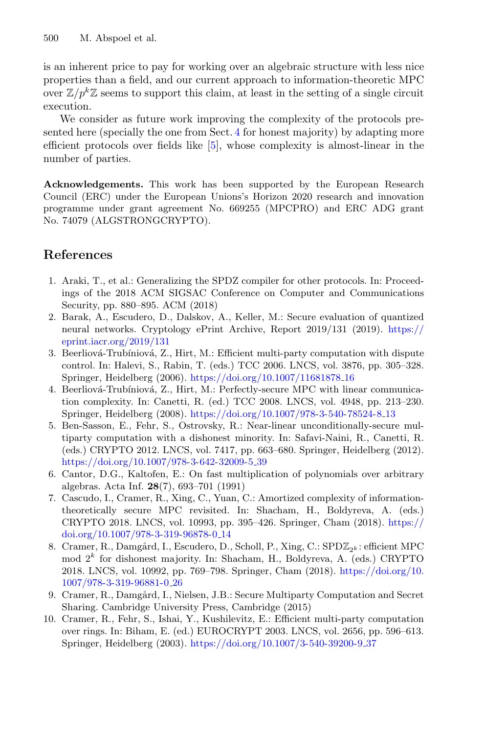is an inherent price to pay for working over an algebraic structure with less nice properties than a field, and our current approach to information-theoretic MPC over  $\mathbb{Z}/p^k\mathbb{Z}$  seems to support this claim, at least in the setting of a single circuit execution.

We consider as future work improving the complexity of the protocols presented here (specially the one from Sect. [4](#page-11-0) for honest majority) by adapting more efficient protocols over fields like [\[5](#page-29-8)], whose complexity is almost-linear in the number of parties.

**Acknowledgements.** This work has been supported by the European Research Council (ERC) under the European Unions's Horizon 2020 research and innovation programme under grant agreement No. 669255 (MPCPRO) and ERC ADG grant No. 74079 (ALGSTRONGCRYPTO).

## **References**

- <span id="page-29-0"></span>1. Araki, T., et al.: Generalizing the SPDZ compiler for other protocols. In: Proceedings of the 2018 ACM SIGSAC Conference on Computer and Communications Security, pp. 880–895. ACM (2018)
- <span id="page-29-1"></span>2. Barak, A., Escudero, D., Dalskov, A., Keller, M.: Secure evaluation of quantized neural networks. Cryptology ePrint Archive, Report 2019/131 (2019). [https://](https://eprint.iacr.org/2019/131) [eprint.iacr.org/2019/131](https://eprint.iacr.org/2019/131)
- <span id="page-29-7"></span>3. Beerliová-Trubíniová, Z., Hirt, M.: Efficient multi-party computation with dispute control. In: Halevi, S., Rabin, T. (eds.) TCC 2006. LNCS, vol. 3876, pp. 305–328. Springer, Heidelberg (2006). [https://doi.org/10.1007/11681878](https://doi.org/10.1007/11681878_16) 16
- <span id="page-29-6"></span>4. Beerliová-Trubíniová, Z., Hirt, M.: Perfectly-secure MPC with linear communication complexity. In: Canetti, R. (ed.) TCC 2008. LNCS, vol. 4948, pp. 213–230. Springer, Heidelberg (2008). [https://doi.org/10.1007/978-3-540-78524-8](https://doi.org/10.1007/978-3-540-78524-8_13) 13
- <span id="page-29-8"></span>5. Ben-Sasson, E., Fehr, S., Ostrovsky, R.: Near-linear unconditionally-secure multiparty computation with a dishonest minority. In: Safavi-Naini, R., Canetti, R. (eds.) CRYPTO 2012. LNCS, vol. 7417, pp. 663–680. Springer, Heidelberg (2012). [https://doi.org/10.1007/978-3-642-32009-5](https://doi.org/10.1007/978-3-642-32009-5_39)<sub>-39</sub>
- <span id="page-29-4"></span>6. Cantor, D.G., Kaltofen, E.: On fast multiplication of polynomials over arbitrary algebras. Acta Inf. **28**(7), 693–701 (1991)
- <span id="page-29-5"></span>7. Cascudo, I., Cramer, R., Xing, C., Yuan, C.: Amortized complexity of informationtheoretically secure MPC revisited. In: Shacham, H., Boldyreva, A. (eds.) CRYPTO 2018. LNCS, vol. 10993, pp. 395–426. Springer, Cham (2018). [https://](https://doi.org/10.1007/978-3-319-96878-0_14) [doi.org/10.1007/978-3-319-96878-0](https://doi.org/10.1007/978-3-319-96878-0_14) 14
- <span id="page-29-2"></span>8. Cramer, R., Damgård, I., Escudero, D., Scholl, P., Xing, C.: SPD $\mathbb{Z}_{2^k}$ : efficient MPC mod  $2^k$  for dishonest majority. In: Shacham, H., Boldyreva, A. (eds.) CRYPTO 2018. LNCS, vol. 10992, pp. 769–798. Springer, Cham (2018). [https://doi.org/10.](https://doi.org/10.1007/978-3-319-96881-0_26) [1007/978-3-319-96881-0](https://doi.org/10.1007/978-3-319-96881-0_26) 26
- <span id="page-29-9"></span>9. Cramer, R., Damgård, I., Nielsen, J.B.: Secure Multiparty Computation and Secret Sharing. Cambridge University Press, Cambridge (2015)
- <span id="page-29-3"></span>10. Cramer, R., Fehr, S., Ishai, Y., Kushilevitz, E.: Efficient multi-party computation over rings. In: Biham, E. (ed.) EUROCRYPT 2003. LNCS, vol. 2656, pp. 596–613. Springer, Heidelberg (2003). [https://doi.org/10.1007/3-540-39200-9](https://doi.org/10.1007/3-540-39200-9_37) 37